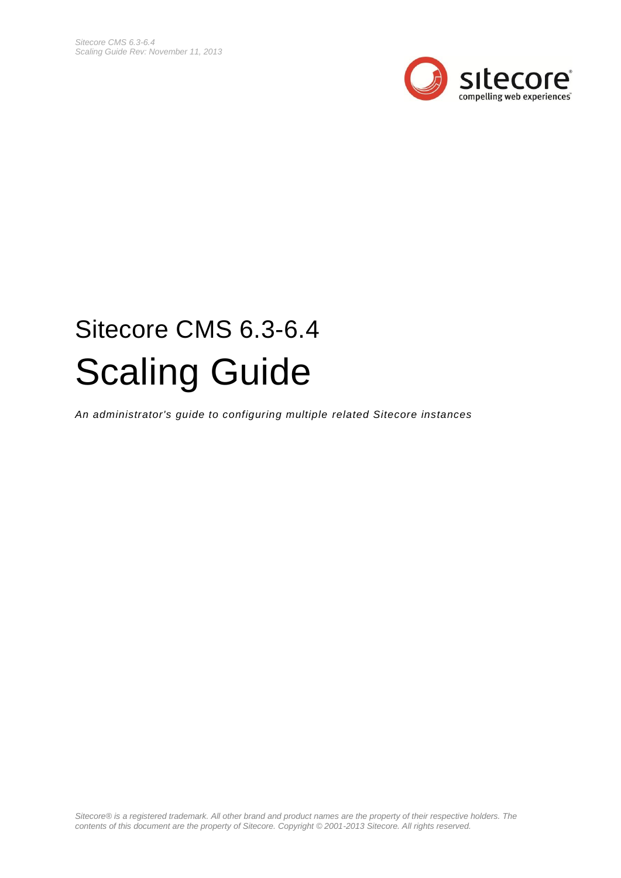

# Sitecore CMS 6.3-6.4 Scaling Guide

*An administrator's guide to configuring multiple related Sitecore instances*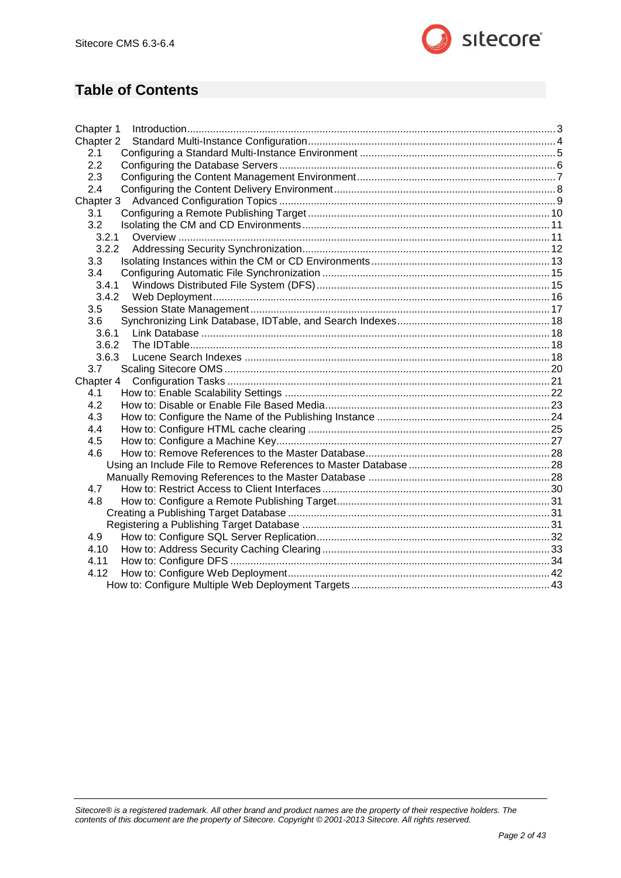

# **Table of Contents**

| Chapter 1 |  |
|-----------|--|
| Chapter 2 |  |
| 2.1       |  |
| 2.2       |  |
| 2.3       |  |
| 2.4       |  |
| Chapter 3 |  |
| 3.1       |  |
| 3.2       |  |
| 3.2.1     |  |
| 3.2.2     |  |
| 3.3       |  |
| 3.4       |  |
| 3.4.1     |  |
|           |  |
| 3.5       |  |
| 3.6       |  |
| 3.6.1     |  |
| 3.6.2     |  |
| 3.6.3     |  |
| 3.7       |  |
| Chapter 4 |  |
| 4.1       |  |
| 4.2       |  |
| 4.3       |  |
| 4.4       |  |
| 4.5       |  |
| 4.6       |  |
|           |  |
|           |  |
| 4.7       |  |
| 4.8       |  |
|           |  |
|           |  |
| 4.9       |  |
| 4.10      |  |
| 4.11      |  |
| 4.12      |  |
|           |  |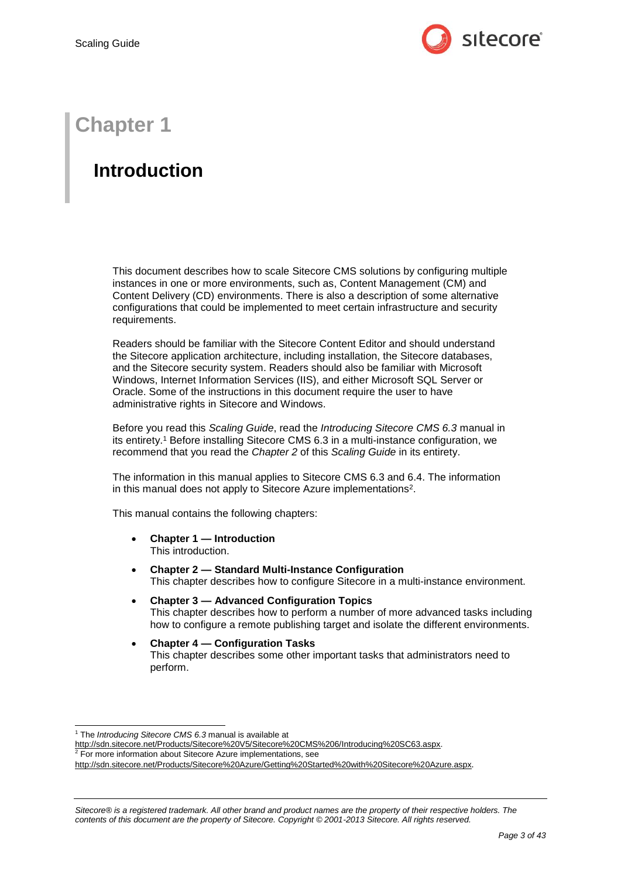

# **Chapter 1**

# <span id="page-2-0"></span>**Introduction**

This document describes how to scale Sitecore CMS solutions by configuring multiple instances in one or more environments, such as, Content Management (CM) and Content Delivery (CD) environments. There is also a description of some alternative configurations that could be implemented to meet certain infrastructure and security requirements.

Readers should be familiar with the Sitecore Content Editor and should understand the Sitecore application architecture, including installation, the Sitecore databases, and the Sitecore security system. Readers should also be familiar with Microsoft Windows, Internet Information Services (IIS), and either Microsoft SQL Server or Oracle. Some of the instructions in this document require the user to have administrative rights in Sitecore and Windows.

Before you read this *Scaling Guide*, read the *Introducing Sitecore CMS 6.3* manual in its entirety.<sup>1</sup> Before installing Sitecore CMS 6.3 in a multi-instance configuration, we recommend that you read the *Chapter 2* of this *Scaling Guide* in its entirety.

The information in this manual applies to Sitecore CMS 6.3 and 6.4. The information in this manual does not apply to Sitecore Azure implementations<sup>2</sup>.

This manual contains the following chapters:

- **[Chapter 1](#page-2-0) — [Introduction](#page-2-0)** This introduction.
- **[Chapter 2](#page-3-0) — Standard [Multi-Instance Configuration](#page-3-0)** This chapter describes how to configure Sitecore in a multi-instance environment.
- **[Chapter 3](#page-8-0) — [Advanced Configuration Topics](#page-8-0)** This chapter describes how to perform a number of more advanced tasks including how to configure a remote publishing target and isolate the different environments.
- **[Chapter 4](#page-20-0) — [Configuration Tasks](#page-20-0)** This chapter describes some other important tasks that administrators need to perform.

1

<sup>1</sup> The *Introducing Sitecore CMS 6.3* manual is available at

[http://sdn.sitecore.net/Products/Sitecore%20V5/Sitecore%20CMS%206/Introducing%20SC63.aspx.](http://sdn.sitecore.net/Products/Sitecore%20V5/Sitecore%20CMS%206/Introducing%20SC63.aspx)

 $2$  For more information about Sitecore Azure implementations, see

<http://sdn.sitecore.net/Products/Sitecore%20Azure/Getting%20Started%20with%20Sitecore%20Azure.aspx>.

*Sitecore® is a registered trademark. All other brand and product names are the property of their respective holders. The contents of this document are the property of Sitecore. Copyright © 2001-2013 Sitecore. All rights reserved.*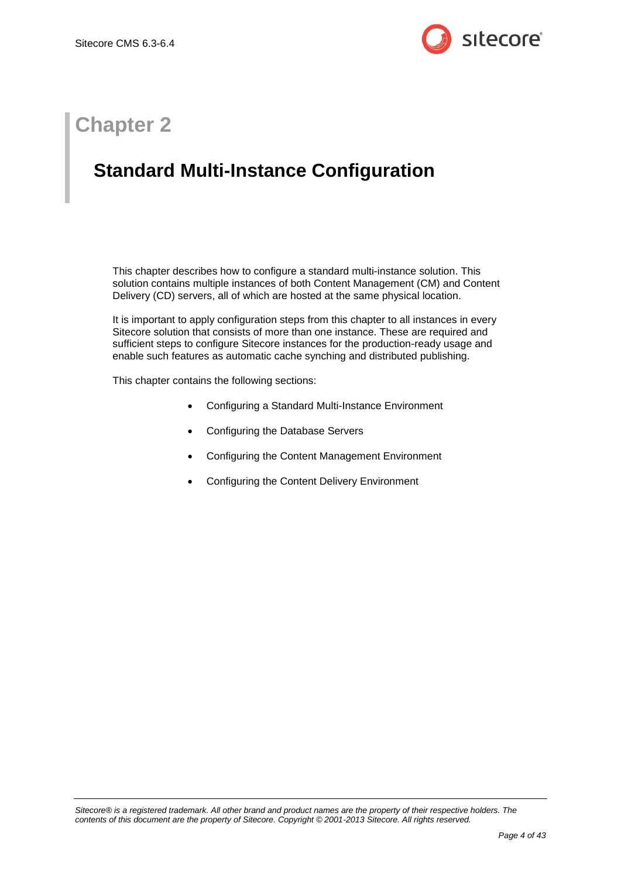

# **Chapter 2**

# <span id="page-3-0"></span>**Standard Multi-Instance Configuration**

This chapter describes how to configure a standard multi-instance solution. This solution contains multiple instances of both Content Management (CM) and Content Delivery (CD) servers, all of which are hosted at the same physical location.

It is important to apply configuration steps from this chapter to all instances in every Sitecore solution that consists of more than one instance. These are required and sufficient steps to configure Sitecore instances for the production-ready usage and enable such features as automatic cache synching and distributed publishing.

This chapter contains the following sections:

- [Configuring a Standard Multi-Instance Environment](#page-4-0)
- [Configuring the Database Servers](#page-5-0)
- [Configuring the Content Management Environment](#page-6-0)
- [Configuring the Content Delivery Environment](#page-7-0)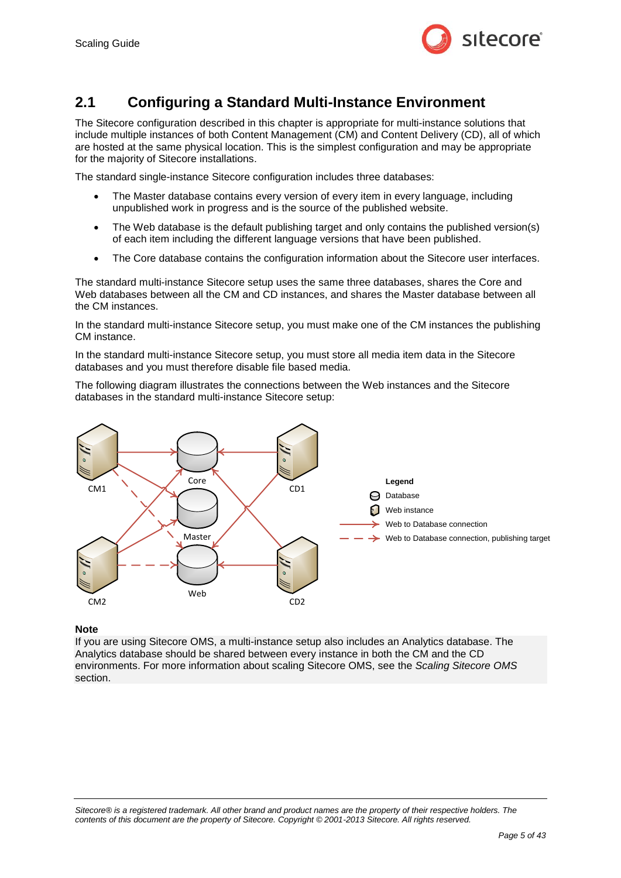

### <span id="page-4-0"></span>**2.1 Configuring a Standard Multi-Instance Environment**

The Sitecore configuration described in this chapter is appropriate for multi-instance solutions that include multiple instances of both Content Management (CM) and Content Delivery (CD), all of which are hosted at the same physical location. This is the simplest configuration and may be appropriate for the majority of Sitecore installations.

The standard single-instance Sitecore configuration includes three databases:

- The Master database contains every version of every item in every language, including unpublished work in progress and is the source of the published website.
- The Web database is the default publishing target and only contains the published version(s) of each item including the different language versions that have been published.
- The Core database contains the configuration information about the Sitecore user interfaces.

The standard multi-instance Sitecore setup uses the same three databases, shares the Core and Web databases between all the CM and CD instances, and shares the Master database between all the CM instances.

In the standard multi-instance Sitecore setup, you must make one of the CM instances the publishing CM instance.

In the standard multi-instance Sitecore setup, you must store all media item data in the Sitecore databases and you must therefore disable file based media.

The following diagram illustrates the connections between the Web instances and the Sitecore databases in the standard multi-instance Sitecore setup:



#### **Note**

If you are using Sitecore OMS, a multi-instance setup also includes an Analytics database. The Analytics database should be shared between every instance in both the CM and the CD environments. For more information about scaling Sitecore OMS, see the *[Scaling Sitecore OMS](#page-19-0)* section.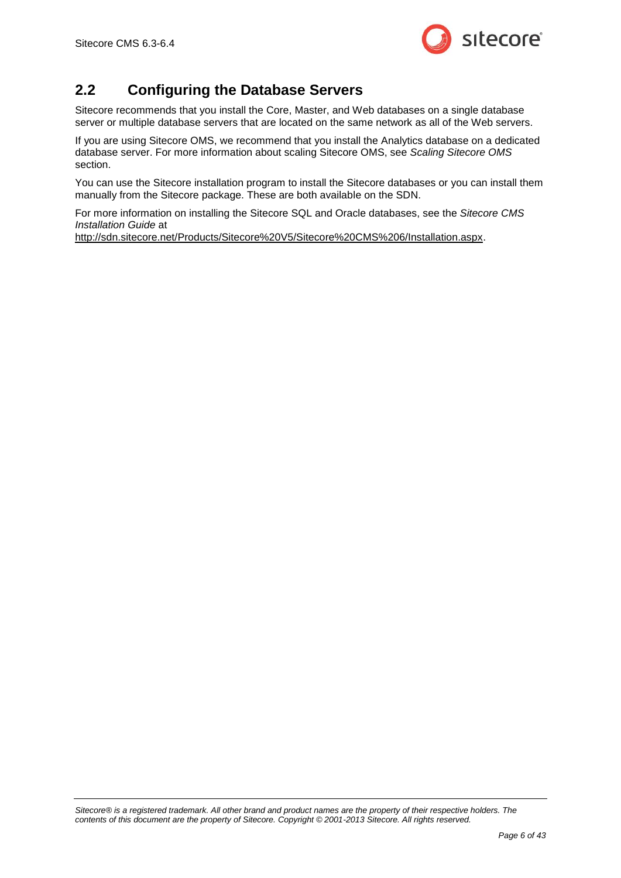

# <span id="page-5-0"></span>**2.2 Configuring the Database Servers**

Sitecore recommends that you install the Core, Master, and Web databases on a single database server or multiple database servers that are located on the same network as all of the Web servers.

If you are using Sitecore OMS, we recommend that you install the Analytics database on a dedicated database server. For more information about scaling Sitecore OMS, see *[Scaling Sitecore OMS](#page-19-0)* section.

You can use the Sitecore installation program to install the Sitecore databases or you can install them manually from the Sitecore package. These are both available on the SDN.

For more information on installing the Sitecore SQL and Oracle databases, see the *Sitecore CMS Installation Guide* at

[http://sdn.sitecore.net/Products/Sitecore%20V5/Sitecore%20CMS%206/Installation.aspx.](http://sdn.sitecore.net/Products/Sitecore%20V5/Sitecore%20CMS%206/Installation.aspx)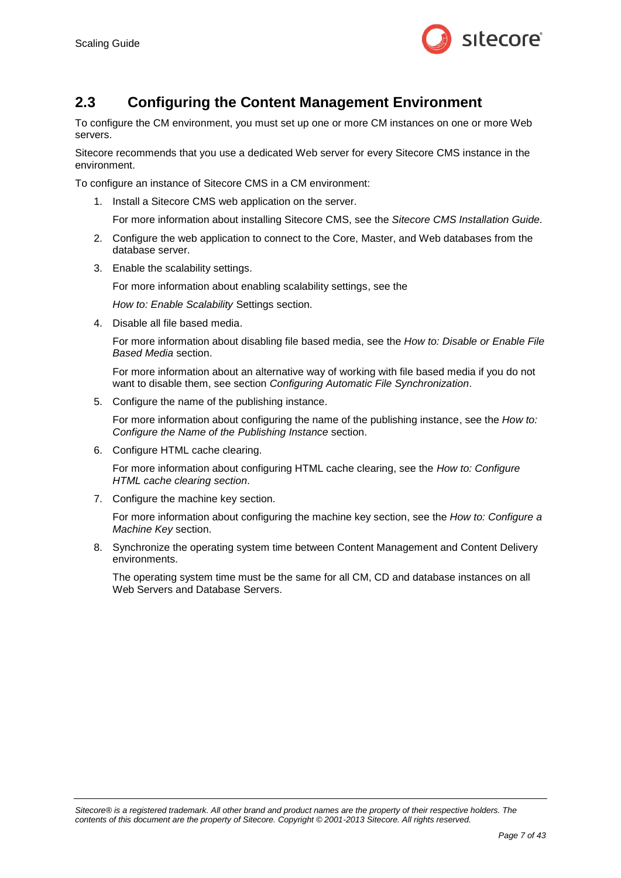

### <span id="page-6-0"></span>**2.3 Configuring the Content Management Environment**

To configure the CM environment, you must set up one or more CM instances on one or more Web servers.

Sitecore recommends that you use a dedicated Web server for every Sitecore CMS instance in the environment.

To configure an instance of Sitecore CMS in a CM environment:

1. Install a Sitecore CMS web application on the server.

For more information about installing Sitecore CMS, see the *Sitecore CMS Installation Guide.*

- 2. Configure the web application to connect to the Core, Master, and Web databases from the database server.
- 3. Enable the scalability settings.

For more information about enabling scalability settings, see the

*How to: [Enable Scalability](#page-20-1)* Settings section.

4. Disable all file based media.

For more information about disabling file based media, see the *How to: Disable [or Enable](#page-22-0) File [Based Media](#page-22-0)* section.

For more information about an alternative way of working with file based media if you do not want to disable them, see section *[Configuring Automatic File Synchronization](#page-14-0)*.

5. Configure the name of the publishing instance.

For more information about configuring the name of the publishing instance, see the *[How to:](#page-23-0) Configure the [Name of the Publishing Instance](#page-23-0)* section.

6. Configure HTML cache clearing.

For more information about configuring HTML cache clearing, see the *[How to: Configure](#page-24-0)  [HTML cache clearing](#page-24-0) section*.

7. Configure the machine key section.

For more information about configuring the machine key section, see the *How to: [Configure a](#page-26-0)  [Machine Key](#page-26-0)* section.

8. Synchronize the operating system time between Content Management and Content Delivery environments.

The operating system time must be the same for all CM, CD and database instances on all Web Servers and Database Servers.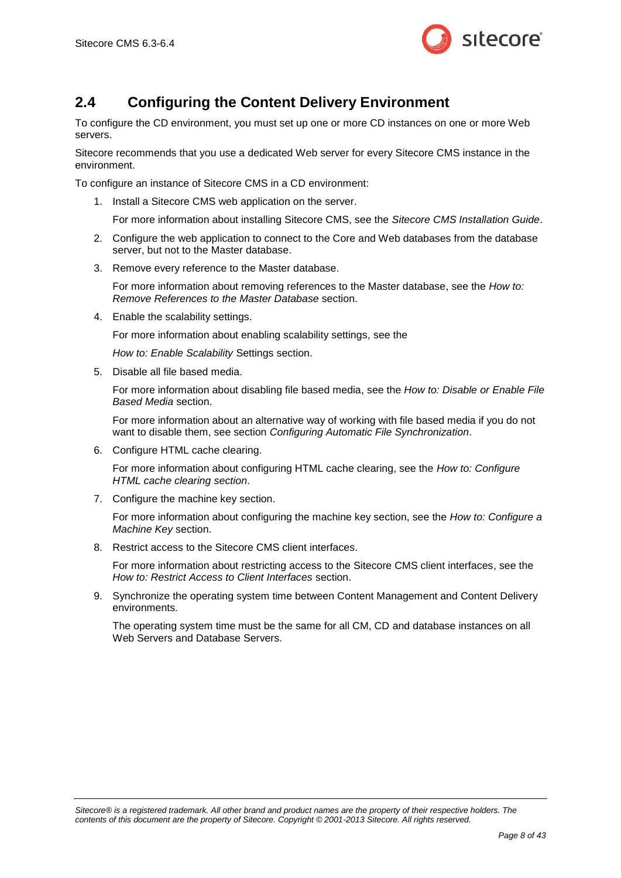

# <span id="page-7-0"></span>**2.4 Configuring the Content Delivery Environment**

To configure the CD environment, you must set up one or more CD instances on one or more Web servers.

Sitecore recommends that you use a dedicated Web server for every Sitecore CMS instance in the environment.

To configure an instance of Sitecore CMS in a CD environment:

1. Install a Sitecore CMS web application on the server.

For more information about installing Sitecore CMS, see the *Sitecore CMS Installation Guide*.

- 2. Configure the web application to connect to the Core and Web databases from the database server, but not to the Master database.
- 3. Remove every reference to the Master database.

For more information about removing references to the Master database, see the *[How to:](#page-27-0) [Remove References to the Master Database](#page-27-0)* section.

4. Enable the scalability settings.

For more information about enabling scalability settings, see the

*How to: [Enable Scalability](#page-20-1)* Settings section.

5. Disable all file based media.

For more information about disabling file based media, see the *How to: Disable [or Enable](#page-22-0) File [Based Media](#page-22-0)* section.

For more information about an alternative way of working with file based media if you do not want to disable them, see section *[Configuring Automatic File Synchronization](#page-14-0)*.

6. Configure HTML cache clearing.

For more information about configuring HTML cache clearing, see the *[How to: Configure](#page-24-0)  [HTML cache clearing](#page-24-0) section*.

7. Configure the machine key section.

For more information about configuring the machine key section, see the *How to: [Configure a](#page-26-0)  [Machine Key](#page-26-0)* section.

8. Restrict access to the Sitecore CMS client interfaces.

For more information about restricting access to the Sitecore CMS client interfaces, see the *How to: Restrict [Access to Client Interfaces](#page-29-0)* section.

9. Synchronize the operating system time between Content Management and Content Delivery environments.

The operating system time must be the same for all CM, CD and database instances on all Web Servers and Database Servers.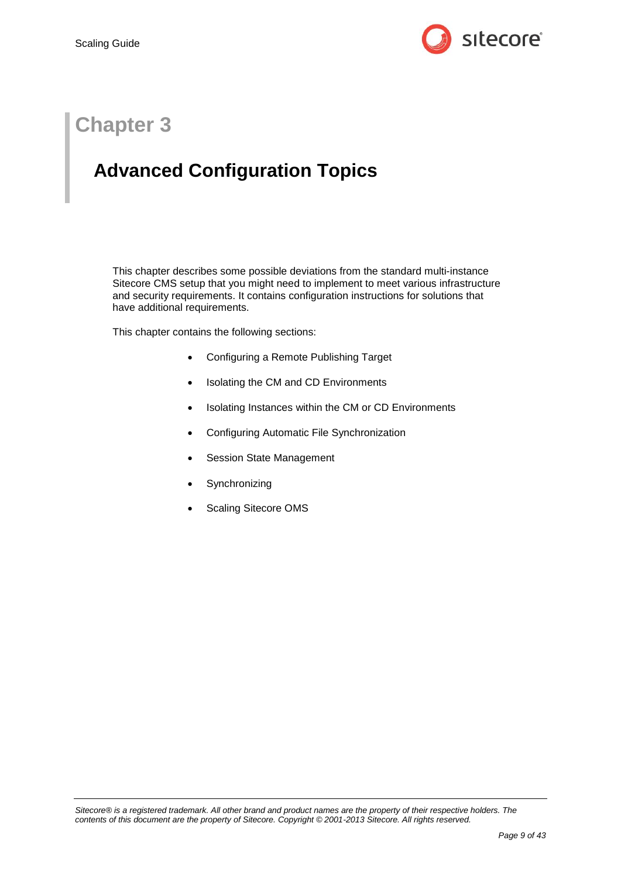

# **Chapter 3**

# <span id="page-8-0"></span>**Advanced Configuration Topics**

This chapter describes some possible deviations from the standard multi-instance Sitecore CMS setup that you might need to implement to meet various infrastructure and security requirements. It contains configuration instructions for solutions that have additional requirements.

This chapter contains the following sections:

- [Configuring a Remote Publishing Target](#page-9-0)
- [Isolating the CM and CD Environments](#page-10-0)
- Isolating Instances within [the CM or CD Environments](#page-12-0)
- [Configuring Automatic File Synchronization](#page-14-0)
- [Session State Management](#page-16-0)
- [Synchronizing](#page-17-0)
- [Scaling Sitecore OMS](#page-19-0)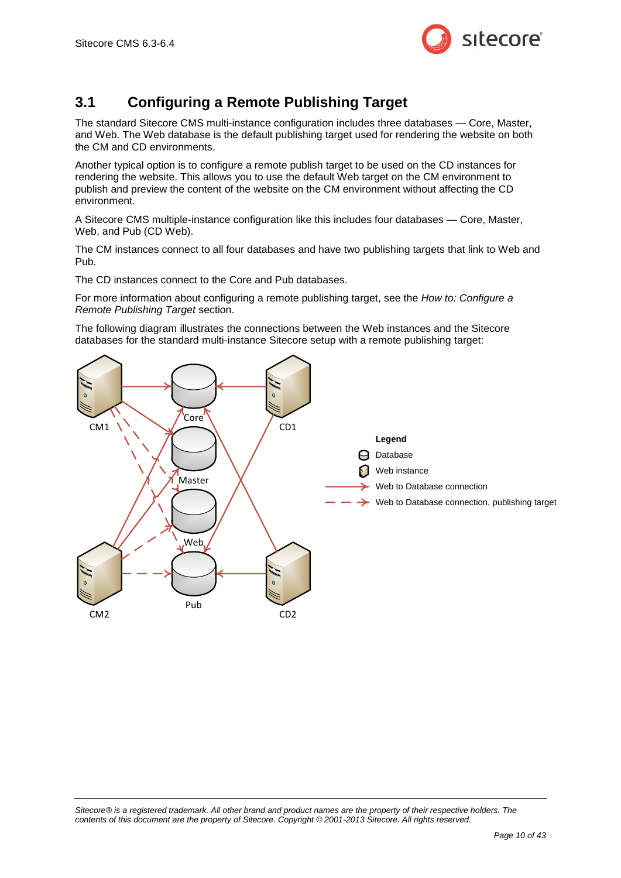

# <span id="page-9-0"></span>**3.1 Configuring a Remote Publishing Target**

The standard Sitecore CMS multi-instance configuration includes three databases — Core, Master, and Web. The Web database is the default publishing target used for rendering the website on both the CM and CD environments.

Another typical option is to configure a remote publish target to be used on the CD instances for rendering the website. This allows you to use the default Web target on the CM environment to publish and preview the content of the website on the CM environment without affecting the CD environment.

A Sitecore CMS multiple-instance configuration like this includes four databases — Core, Master, Web, and Pub (CD Web).

The CM instances connect to all four databases and have two publishing targets that link to Web and Pub.

The CD instances connect to the Core and Pub databases.

For more information about configuring a remote publishing target, see the *How to: [Configure](#page-30-0) a [Remote Publishing Target](#page-30-0)* section.

The following diagram illustrates the connections between the Web instances and the Sitecore databases for the standard multi-instance Sitecore setup with a remote publishing target:

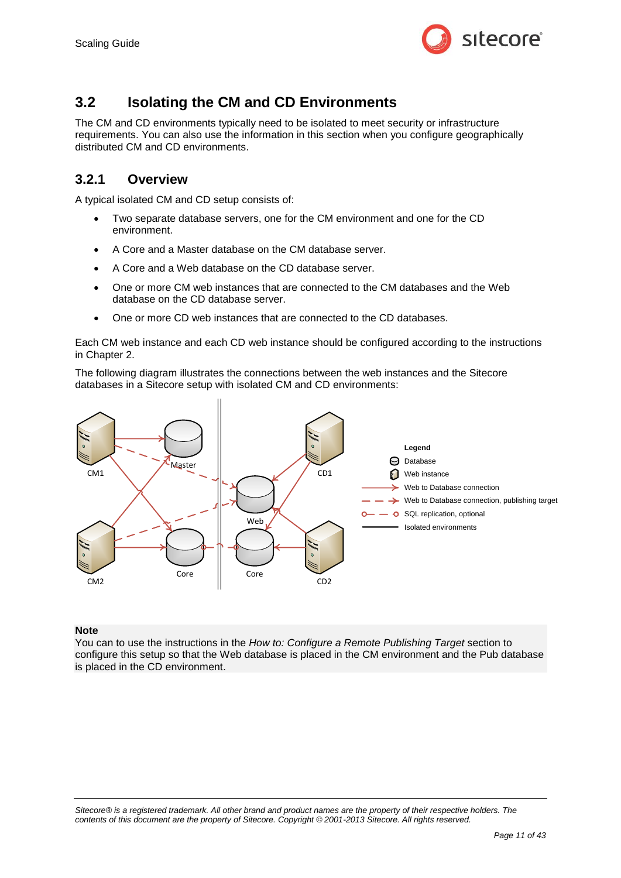

## <span id="page-10-0"></span>**3.2 Isolating the CM and CD Environments**

The CM and CD environments typically need to be isolated to meet security or infrastructure requirements. You can also use the information in this section when you configure geographically distributed CM and CD environments.

#### <span id="page-10-1"></span>**3.2.1 Overview**

A typical isolated CM and CD setup consists of:

- Two separate database servers, one for the CM environment and one for the CD environment.
- A Core and a Master database on the CM database server.
- A Core and a Web database on the CD database server.
- One or more CM web instances that are connected to the CM databases and the Web database on the CD database server.
- One or more CD web instances that are connected to the CD databases.

Each CM web instance and each CD web instance should be configured according to the instructions in [Chapter 2.](#page-3-0)

The following diagram illustrates the connections between the web instances and the Sitecore databases in a Sitecore setup with isolated CM and CD environments:



#### **Note**

You can to use the instructions in the *How to: Configure [a Remote Publishing Target](#page-30-0)* section to configure this setup so that the Web database is placed in the CM environment and the Pub database is placed in the CD environment.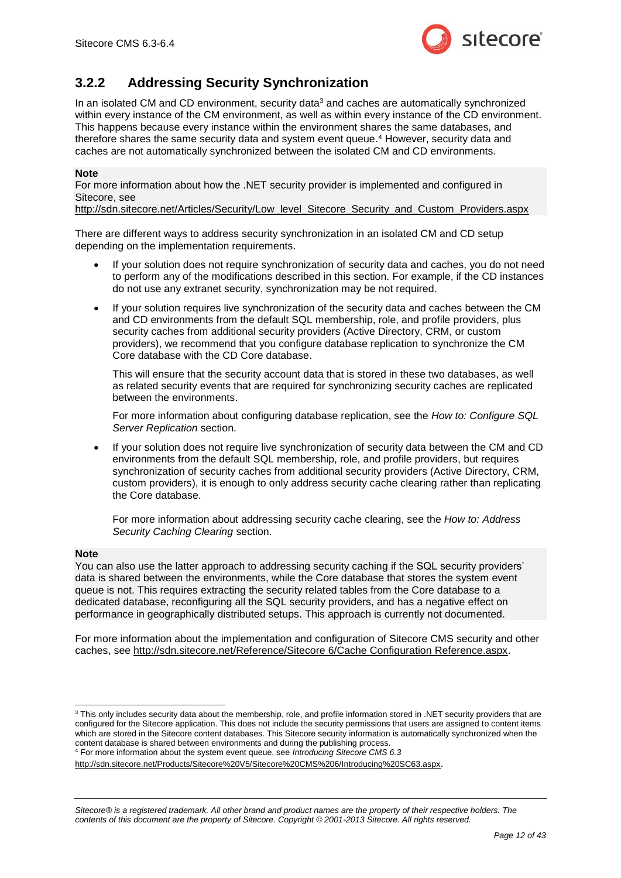

#### <span id="page-11-0"></span>**3.2.2 Addressing Security Synchronization**

In an isolated CM and CD environment, security data<sup>3</sup> and caches are automatically synchronized within every instance of the CM environment, as well as within every instance of the CD environment. This happens because every instance within the environment shares the same databases, and therefore shares the same security data and system event queue. <sup>4</sup> However, security data and caches are not automatically synchronized between the isolated CM and CD environments.

#### **Note**

For more information about how the .NET security provider is implemented and configured in Sitecore, see

[http://sdn.sitecore.net/Articles/Security/Low\\_level\\_Sitecore\\_Security\\_and\\_Custom\\_Providers.aspx](http://sdn.sitecore.net/Articles/Security/Low_level_Sitecore_Security_and_Custom_Providers.aspx)

There are different ways to address security synchronization in an isolated CM and CD setup depending on the implementation requirements.

- If your solution does not require synchronization of security data and caches, you do not need to perform any of the modifications described in this section. For example, if the CD instances do not use any extranet security, synchronization may be not required.
- If your solution requires live synchronization of the security data and caches between the CM and CD environments from the default SQL membership, role, and profile providers, plus security caches from additional security providers (Active Directory, CRM, or custom providers), we recommend that you configure database replication to synchronize the CM Core database with the CD Core database.

This will ensure that the security account data that is stored in these two databases, as well as related security events that are required for synchronizing security caches are replicated between the environments.

For more information about configuring database replication, see the *How to: [Configure SQL](#page-31-0)  [Server Replication](#page-31-0)* section.

 If your solution does not require live synchronization of security data between the CM and CD environments from the default SQL membership, role, and profile providers, but requires synchronization of security caches from additional security providers (Active Directory, CRM, custom providers), it is enough to only address security cache clearing rather than replicating the Core database.

For more information about addressing security cache clearing, see the *How to: [Address](#page-32-0)  [Security Caching](#page-32-0) Clearing* section.

#### **Note**

You can also use the latter approach to addressing security caching if the SQL security providers' data is shared between the environments, while the Core database that stores the system event queue is not. This requires extracting the security related tables from the Core database to a dedicated database, reconfiguring all the SQL security providers, and has a negative effect on performance in geographically distributed setups. This approach is currently not documented.

For more information about the implementation and configuration of Sitecore CMS security and other caches, see [http://sdn.sitecore.net/Reference/Sitecore 6/Cache Configuration Reference.aspx.](http://sdn.sitecore.net/Reference/Sitecore%206/Cache%20Configuration%20Reference.aspx)

<sup>1</sup>  $3$  This only includes security data about the membership, role, and profile information stored in .NET security providers that are configured for the Sitecore application. This does not include the security permissions that users are assigned to content items which are stored in the Sitecore content databases. This Sitecore security information is automatically synchronized when the content database is shared between environments and during the publishing process. <sup>4</sup> For more information about the system event queue, see *Introducing Sitecore CMS 6.3*

<http://sdn.sitecore.net/Products/Sitecore%20V5/Sitecore%20CMS%206/Introducing%20SC63.aspx>.

*Sitecore® is a registered trademark. All other brand and product names are the property of their respective holders. The contents of this document are the property of Sitecore. Copyright © 2001-2013 Sitecore. All rights reserved.*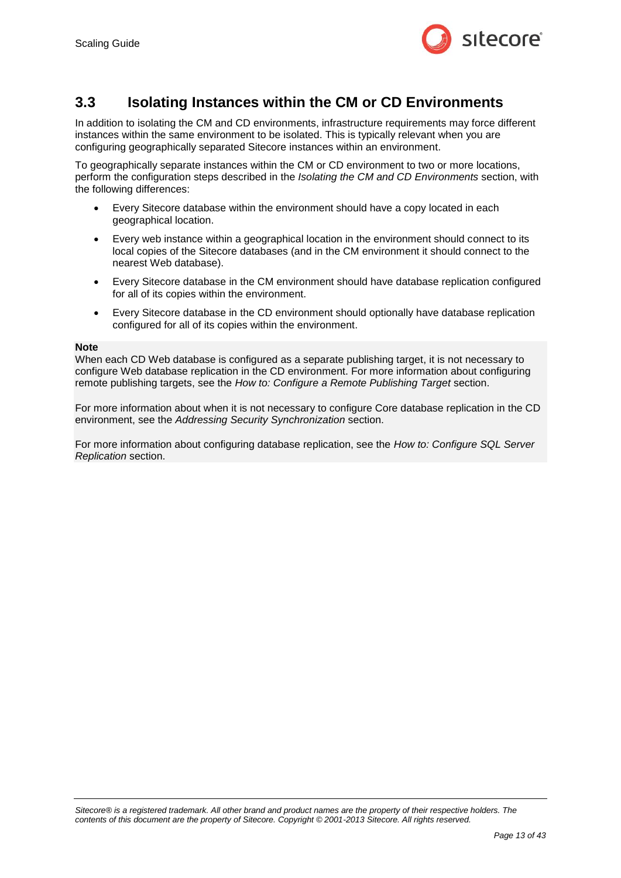

#### <span id="page-12-0"></span>**3.3 Isolating Instances within the CM or CD Environments**

In addition to isolating the CM and CD environments, infrastructure requirements may force different instances within the same environment to be isolated. This is typically relevant when you are configuring geographically separated Sitecore instances within an environment.

To geographically separate instances within the CM or CD environment to two or more locations, perform the configuration steps described in the *[Isolating the CM and CD Environments](#page-10-0)* section, with the following differences:

- Every Sitecore database within the environment should have a copy located in each geographical location.
- Every web instance within a geographical location in the environment should connect to its local copies of the Sitecore databases (and in the CM environment it should connect to the nearest Web database).
- Every Sitecore database in the CM environment should have database replication configured for all of its copies within the environment.
- Every Sitecore database in the CD environment should optionally have database replication configured for all of its copies within the environment.

#### **Note**

When each CD Web database is configured as a separate publishing target, it is not necessary to configure Web database replication in the CD environment. For more information about configuring remote publishing targets, see the *How to: Configure [a Remote Publishing Target](#page-30-0)* section.

For more information about when it is not necessary to configure Core database replication in the CD environment, see the *[Addressing Security Synchronization](#page-11-0)* section.

For more information about configuring database replication, see the *How to: [Configure SQL Server](#page-31-0)  [Replication](#page-31-0)* section.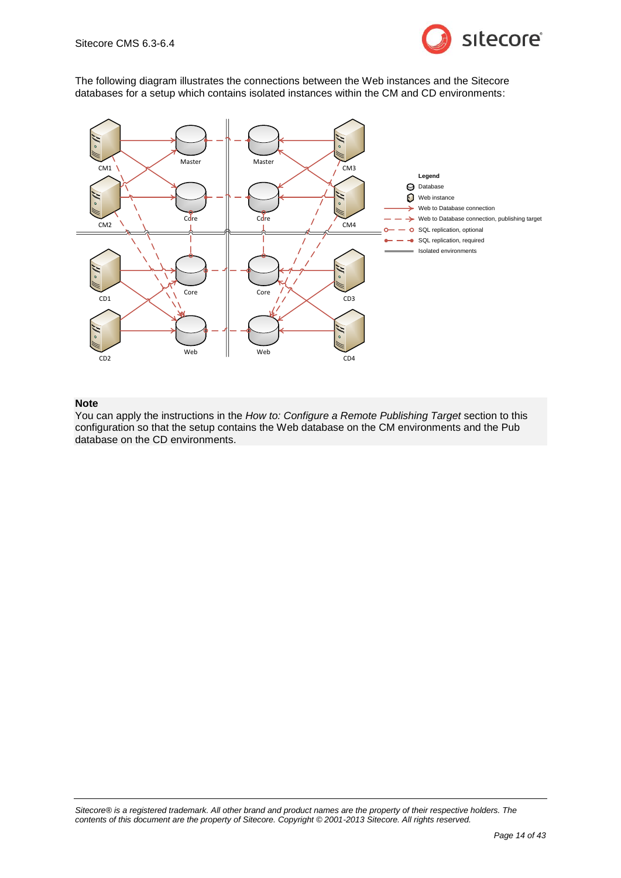

The following diagram illustrates the connections between the Web instances and the Sitecore databases for a setup which contains isolated instances within the CM and CD environments:



#### **Note**

You can apply the instructions in the *How to: Configure [a Remote Publishing Target](#page-30-0)* section to this configuration so that the setup contains the Web database on the CM environments and the Pub database on the CD environments.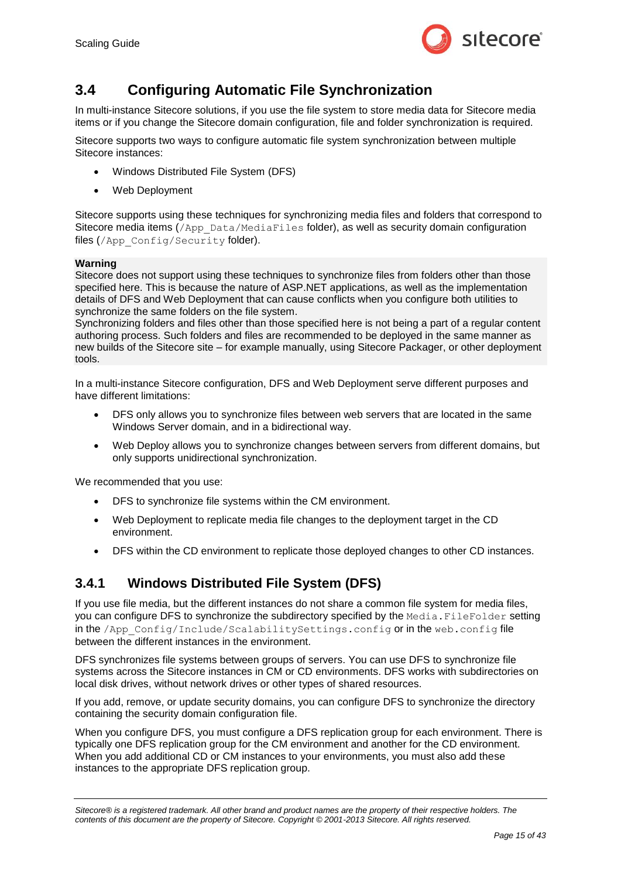

# <span id="page-14-0"></span>**3.4 Configuring Automatic File Synchronization**

In multi-instance Sitecore solutions, if you use the file system to store media data for Sitecore media items or if you change the Sitecore domain configuration, file and folder synchronization is required.

Sitecore supports two ways to configure automatic file system synchronization between multiple Sitecore instances:

- Windows Distributed File System (DFS)
- Web Deployment

Sitecore supports using these techniques for synchronizing media files and folders that correspond to Sitecore media items  $//$   $\Delta pp$  Data/MediaFiles folder), as well as security domain configuration files (/App\_Config/Security folder).

#### **Warning**

Sitecore does not support using these techniques to synchronize files from folders other than those specified here. This is because the nature of ASP.NET applications, as well as the implementation details of DFS and Web Deployment that can cause conflicts when you configure both utilities to synchronize the same folders on the file system.

Synchronizing folders and files other than those specified here is not being a part of a regular content authoring process. Such folders and files are recommended to be deployed in the same manner as new builds of the Sitecore site – for example manually, using Sitecore Packager, or other deployment tools.

In a multi-instance Sitecore configuration, DFS and Web Deployment serve different purposes and have different limitations:

- DFS only allows you to synchronize files between web servers that are located in the same Windows Server domain, and in a bidirectional way.
- Web Deploy allows you to synchronize changes between servers from different domains, but only supports unidirectional synchronization.

We recommended that you use:

- DFS to synchronize file systems within the CM environment.
- Web Deployment to replicate media file changes to the deployment target in the CD environment.
- DFS within the CD environment to replicate those deployed changes to other CD instances.

#### <span id="page-14-1"></span>**3.4.1 Windows Distributed File System (DFS)**

If you use file media, but the different instances do not share a common file system for media files, you can configure DFS to synchronize the subdirectory specified by the Media. FileFolder setting in the /App\_Config/Include/ScalabilitySettings.config or in the web.config file between the different instances in the environment.

DFS synchronizes file systems between groups of servers. You can use DFS to synchronize file systems across the Sitecore instances in CM or CD environments. DFS works with subdirectories on local disk drives, without network drives or other types of shared resources.

If you add, remove, or update security domains, you can configure DFS to synchronize the directory containing the security domain configuration file.

When you configure DFS, you must configure a DFS replication group for each environment. There is typically one DFS replication group for the CM environment and another for the CD environment. When you add additional CD or CM instances to your environments, you must also add these instances to the appropriate DFS replication group.

*Sitecore® is a registered trademark. All other brand and product names are the property of their respective holders. The contents of this document are the property of Sitecore. Copyright © 2001-2013 Sitecore. All rights reserved.*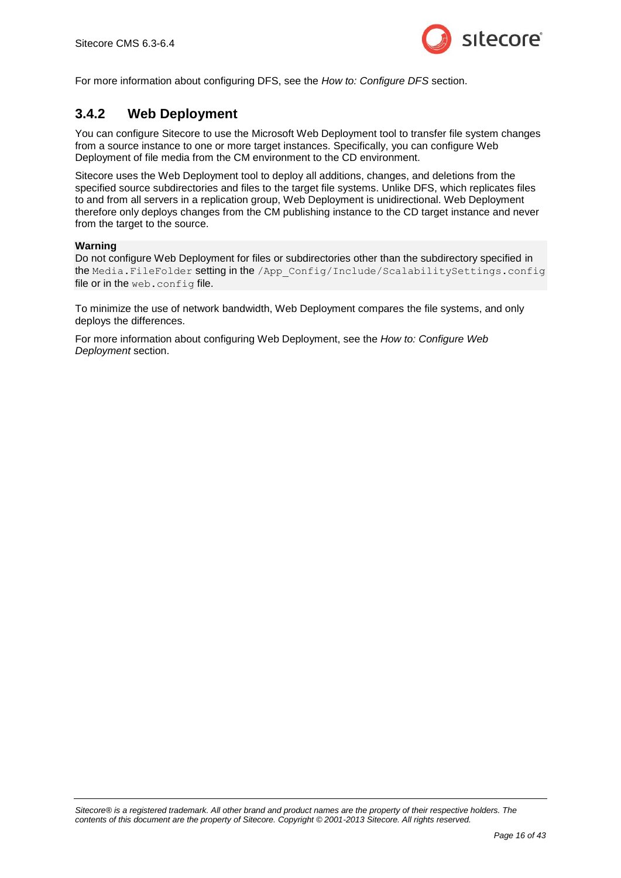

<span id="page-15-0"></span>For more information about configuring DFS, see the *How to: [Configure DFS](#page-33-0)* section.

#### **3.4.2 Web Deployment**

You can configure Sitecore to use the Microsoft Web Deployment tool to transfer file system changes from a source instance to one or more target instances. Specifically, you can configure Web Deployment of file media from the CM environment to the CD environment.

Sitecore uses the Web Deployment tool to deploy all additions, changes, and deletions from the specified source subdirectories and files to the target file systems. Unlike DFS, which replicates files to and from all servers in a replication group, Web Deployment is unidirectional. Web Deployment therefore only deploys changes from the CM publishing instance to the CD target instance and never from the target to the source.

#### **Warning**

Do not configure Web Deployment for files or subdirectories other than the subdirectory specified in the Media. FileFolder setting in the /App\_Config/Include/ScalabilitySettings.config file or in the web.config file.

To minimize the use of network bandwidth, Web Deployment compares the file systems, and only deploys the differences.

For more information about configuring Web Deployment, see the *How to: [Configure Web](#page-41-0) [Deployment](#page-41-0)* section.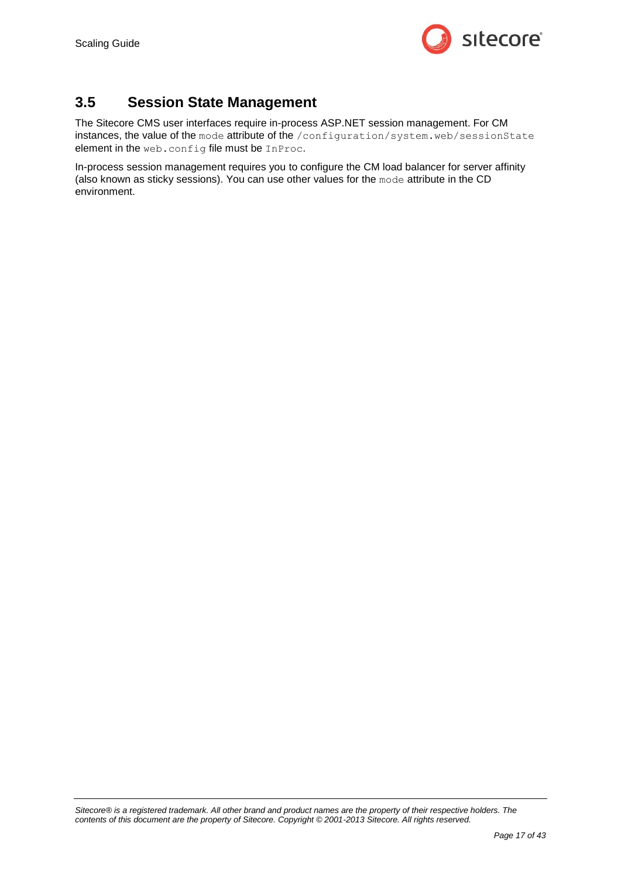

# <span id="page-16-0"></span>**3.5 Session State Management**

The Sitecore CMS user interfaces require in-process ASP.NET session management. For CM instances, the value of the mode attribute of the /configuration/system.web/sessionState element in the web.config file must be InProc.

In-process session management requires you to configure the CM load balancer for server affinity (also known as sticky sessions). You can use other values for the mode attribute in the CD environment.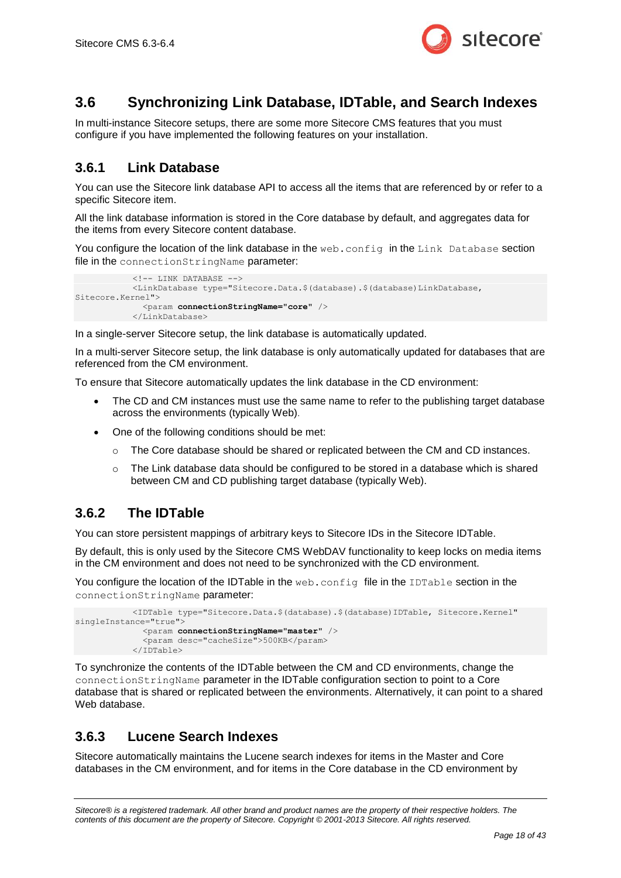

# <span id="page-17-0"></span>**3.6 Synchronizing Link Database, IDTable, and Search Indexes**

In multi-instance Sitecore setups, there are some more Sitecore CMS features that you must configure if you have implemented the following features on your installation.

#### <span id="page-17-1"></span>**3.6.1 Link Database**

You can use the Sitecore link database API to access all the items that are referenced by or refer to a specific Sitecore item.

All the link database information is stored in the Core database by default, and aggregates data for the items from every Sitecore content database.

You configure the location of the link database in the web.config in the Link Database section file in the connectionStringName parameter:

```
\langle!-- LINK DATABASE -->
             <LinkDatabase type="Sitecore.Data.$(database).$(database)LinkDatabase, 
Sitecore.Kernel">
               <param connectionStringName="core" />
             </LinkDatabase>
```
In a single-server Sitecore setup, the link database is automatically updated.

In a multi-server Sitecore setup, the link database is only automatically updated for databases that are referenced from the CM environment.

To ensure that Sitecore automatically updates the link database in the CD environment:

- The CD and CM instances must use the same name to refer to the publishing target database across the environments (typically Web).
- One of the following conditions should be met:
	- $\circ$  The Core database should be shared or replicated between the CM and CD instances.
	- $\circ$  The Link database data should be configured to be stored in a database which is shared between CM and CD publishing target database (typically Web).

#### <span id="page-17-2"></span>**3.6.2 The IDTable**

You can store persistent mappings of arbitrary keys to Sitecore IDs in the Sitecore IDTable.

By default, this is only used by the Sitecore CMS WebDAV functionality to keep locks on media items in the CM environment and does not need to be synchronized with the CD environment.

You configure the location of the IDTable in the web.config file in the IDTable section in the connectionStringName parameter:

```
 <IDTable type="Sitecore.Data.$(database).$(database)IDTable, Sitecore.Kernel" 
singleInstance="true">
              <param connectionStringName="master" />
               <param desc="cacheSize">500KB</param>
             </IDTable>
```
To synchronize the contents of the IDTable between the CM and CD environments, change the connectionStringName parameter in the IDTable configuration section to point to a Core database that is shared or replicated between the environments. Alternatively, it can point to a shared Web database.

#### <span id="page-17-3"></span>**3.6.3 Lucene Search Indexes**

Sitecore automatically maintains the Lucene search indexes for items in the Master and Core databases in the CM environment, and for items in the Core database in the CD environment by

*Sitecore® is a registered trademark. All other brand and product names are the property of their respective holders. The contents of this document are the property of Sitecore. Copyright © 2001-2013 Sitecore. All rights reserved.*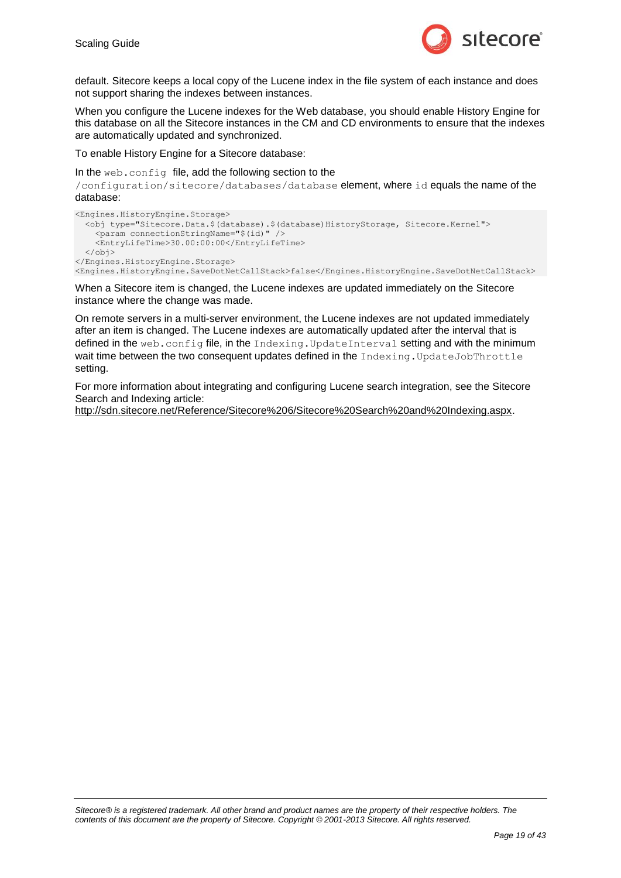

default. Sitecore keeps a local copy of the Lucene index in the file system of each instance and does not support sharing the indexes between instances.

When you configure the Lucene indexes for the Web database, you should enable History Engine for this database on all the Sitecore instances in the CM and CD environments to ensure that the indexes are automatically updated and synchronized.

To enable History Engine for a Sitecore database:

In the web.config file, add the following section to the

/configuration/sitecore/databases/database element, where id equals the name of the database:

```
<Engines.HistoryEngine.Storage>
 <obj type="Sitecore.Data.$(database).$(database)HistoryStorage, Sitecore.Kernel">
  <param connectionStringName="$(id)" />
     <EntryLifeTime>30.00:00:00</EntryLifeTime>
   </obj>
</Engines.HistoryEngine.Storage>
<Engines.HistoryEngine.SaveDotNetCallStack>false</Engines.HistoryEngine.SaveDotNetCallStack>
```
When a Sitecore item is changed, the Lucene indexes are updated immediately on the Sitecore instance where the change was made.

On remote servers in a multi-server environment, the Lucene indexes are not updated immediately after an item is changed. The Lucene indexes are automatically updated after the interval that is defined in the web.config file, in the Indexing.UpdateInterval setting and with the minimum wait time between the two consequent updates defined in the Indexing. UpdateJobThrottle setting.

For more information about integrating and configuring Lucene search integration, see the Sitecore Search and Indexing article:

[http://sdn.sitecore.net/Reference/Sitecore%206/Sitecore%20Search%20and%20Indexing.aspx.](http://sdn.sitecore.net/Reference/Sitecore%206/Sitecore%20Search%20and%20Indexing.aspx)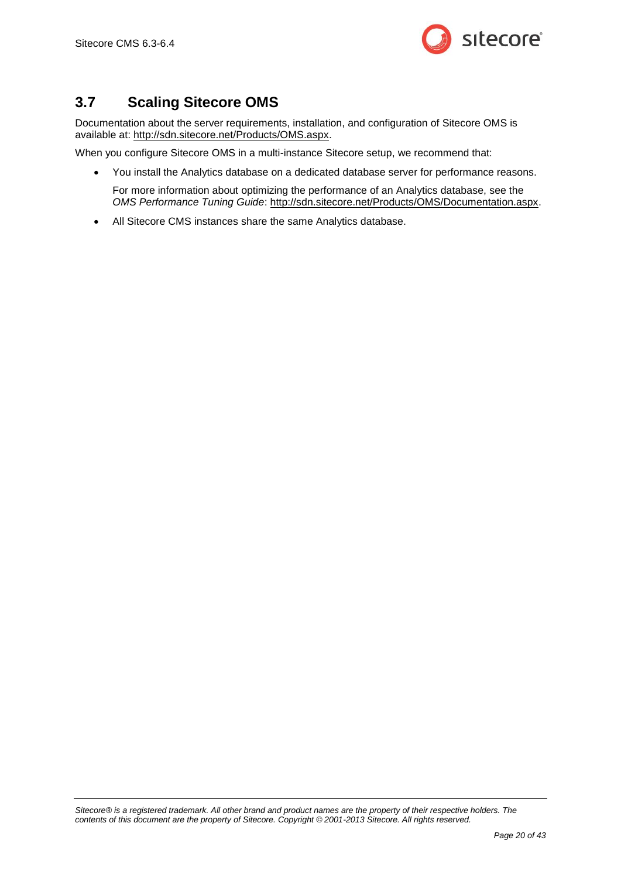

# <span id="page-19-0"></span>**3.7 Scaling Sitecore OMS**

Documentation about the server requirements, installation, and configuration of Sitecore OMS is available at: [http://sdn.sitecore.net/Products/OMS.aspx.](http://sdn.sitecore.net/Products/OMS.aspx)

When you configure Sitecore OMS in a multi-instance Sitecore setup, we recommend that:

You install the Analytics database on a dedicated database server for performance reasons.

For more information about optimizing the performance of an Analytics database, see the *OMS Performance Tuning Guide*: [http://sdn.sitecore.net/Products/OMS/Documentation.aspx.](http://sdn.sitecore.net/Products/OMS/Documentation.aspx)

All Sitecore CMS instances share the same Analytics database.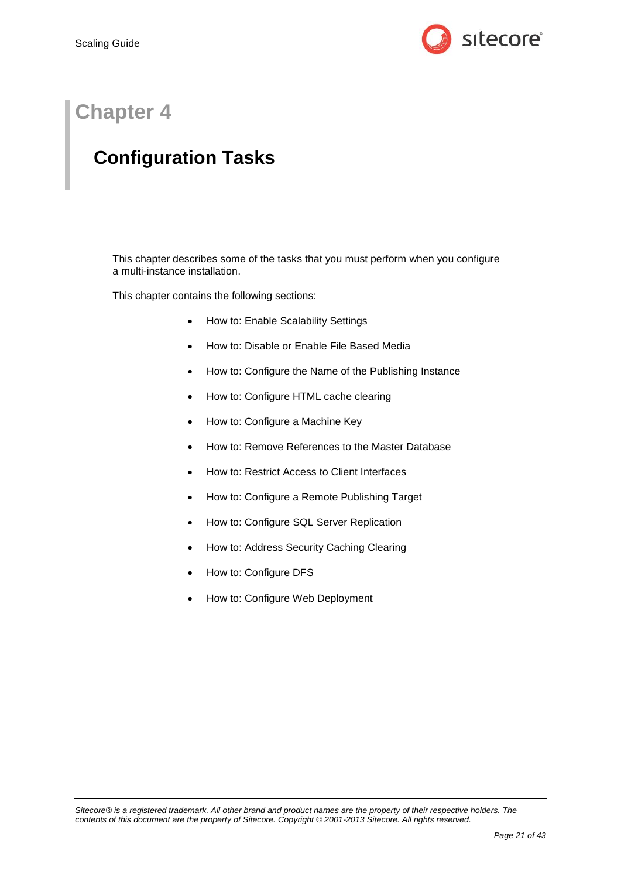

# **Chapter 4**

# <span id="page-20-0"></span>**Configuration Tasks**

This chapter describes some of the tasks that you must perform when you configure a multi-instance installation.

This chapter contains the following sections:

- How to: [Enable Scalability Settings](#page-21-0)
- How to: Disable or Enable [File Based Media](#page-22-0)
- How to: Configure the [Name of the Publishing Instance](#page-23-0)
- [How to: Configure HTML cache clearing](#page-24-0)
- How to: [Configure a Machine Key](#page-26-0)
- How to: [Remove References to the Master Database](#page-27-0)
- How to: Restrict [Access to Client Interfaces](#page-29-0)
- How to: Configure [a Remote Publishing Target](#page-30-0)
- How to: [Configure SQL Server Replication](#page-31-0)
- How to: [Address Security Caching](#page-32-0) Clearing
- How to: [Configure DFS](#page-33-0)
- <span id="page-20-1"></span>How to: [Configure Web](#page-41-0) Deployment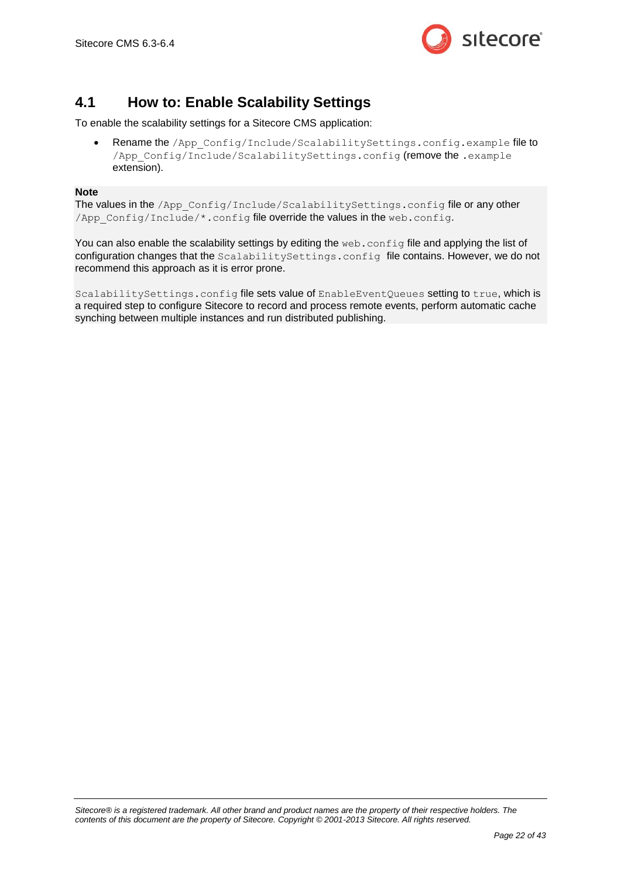

### <span id="page-21-0"></span>**4.1 How to: Enable Scalability Settings**

To enable the scalability settings for a Sitecore CMS application:

• Rename the /App Config/Include/ScalabilitySettings.config.example file to /App\_Config/Include/ScalabilitySettings.config (remove the .example extension).

#### **Note**

The values in the /App\_Config/Include/ScalabilitySettings.config file or any other /App\_Config/Include/\*.config file override the values in the web.config.

You can also enable the scalability settings by editing the web.config file and applying the list of configuration changes that the ScalabilitySettings.config file contains. However, we do not recommend this approach as it is error prone.

ScalabilitySettings.config file sets value of EnableEventQueues setting to true, which is a required step to configure Sitecore to record and process remote events, perform automatic cache synching between multiple instances and run distributed publishing.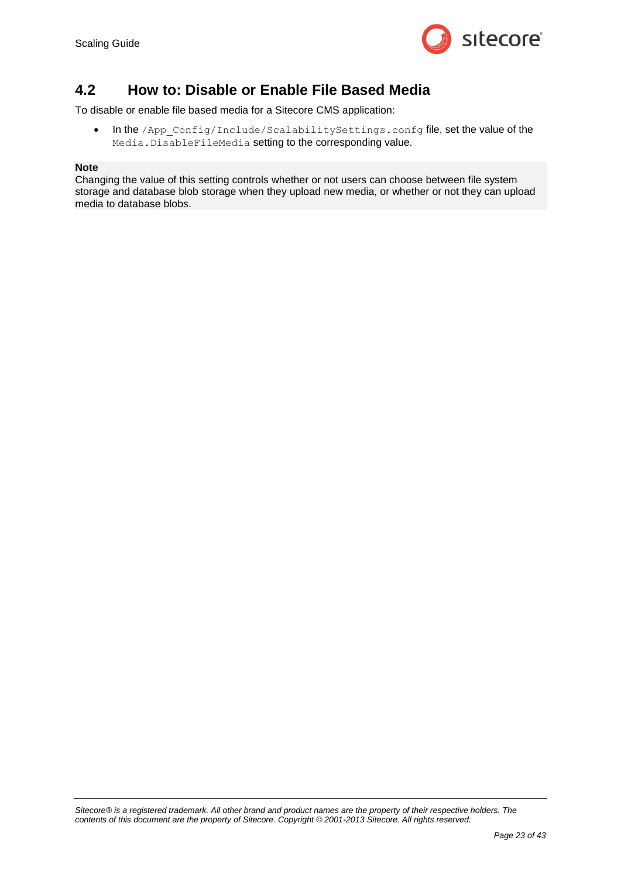

#### <span id="page-22-0"></span>**4.2 How to: Disable or Enable File Based Media**

To disable or enable file based media for a Sitecore CMS application:

 In the /App\_Config/Include/ScalabilitySettings.confg file, set the value of the Media.DisableFileMedia setting to the corresponding value.

#### **Note**

Changing the value of this setting controls whether or not users can choose between file system storage and database blob storage when they upload new media, or whether or not they can upload media to database blobs.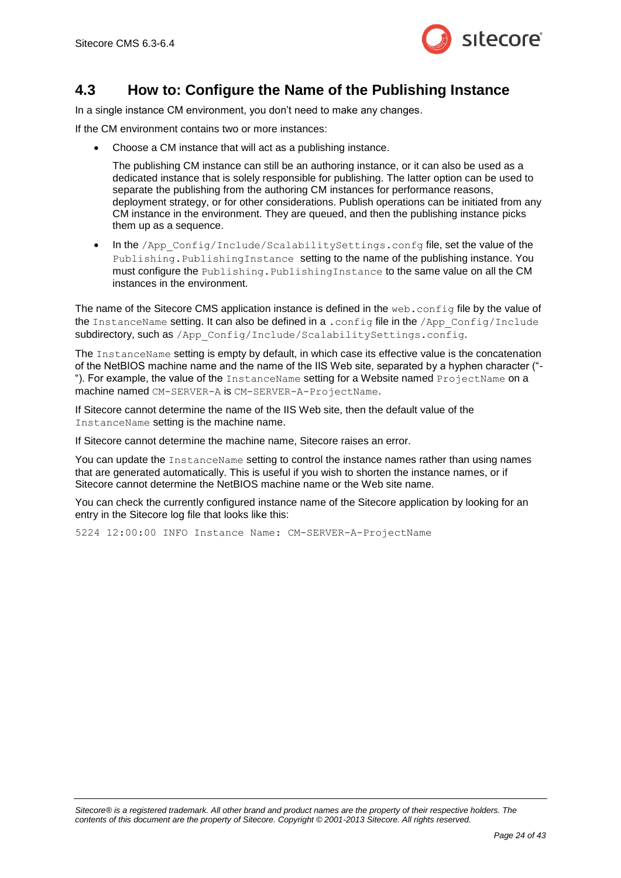

#### <span id="page-23-0"></span>**4.3 How to: Configure the Name of the Publishing Instance**

In a single instance CM environment, you don't need to make any changes.

If the CM environment contains two or more instances:

Choose a CM instance that will act as a publishing instance.

The publishing CM instance can still be an authoring instance, or it can also be used as a dedicated instance that is solely responsible for publishing. The latter option can be used to separate the publishing from the authoring CM instances for performance reasons, deployment strategy, or for other considerations. Publish operations can be initiated from any CM instance in the environment. They are queued, and then the publishing instance picks them up as a sequence.

 In the /App\_Config/Include/ScalabilitySettings.confg file, set the value of the Publishing. PublishingInstance setting to the name of the publishing instance. You must configure the Publishing. PublishingInstance to the same value on all the CM instances in the environment.

The name of the Sitecore CMS application instance is defined in the web.config file by the value of the InstanceName setting. It can also be defined in a . config file in the /App\_Config/Include subdirectory, such as /App Config/Include/ScalabilitySettings.config.

The InstanceName setting is empty by default, in which case its effective value is the concatenation of the NetBIOS machine name and the name of the IIS Web site, separated by a hyphen character ("- "). For example, the value of the InstanceName setting for a Website named ProjectName on a machine named CM-SERVER-A is CM-SERVER-A-ProjectName.

If Sitecore cannot determine the name of the IIS Web site, then the default value of the InstanceName setting is the machine name.

If Sitecore cannot determine the machine name, Sitecore raises an error.

You can update the InstanceName setting to control the instance names rather than using names that are generated automatically. This is useful if you wish to shorten the instance names, or if Sitecore cannot determine the NetBIOS machine name or the Web site name.

You can check the currently configured instance name of the Sitecore application by looking for an entry in the Sitecore log file that looks like this:

5224 12:00:00 INFO Instance Name: CM-SERVER-A-ProjectName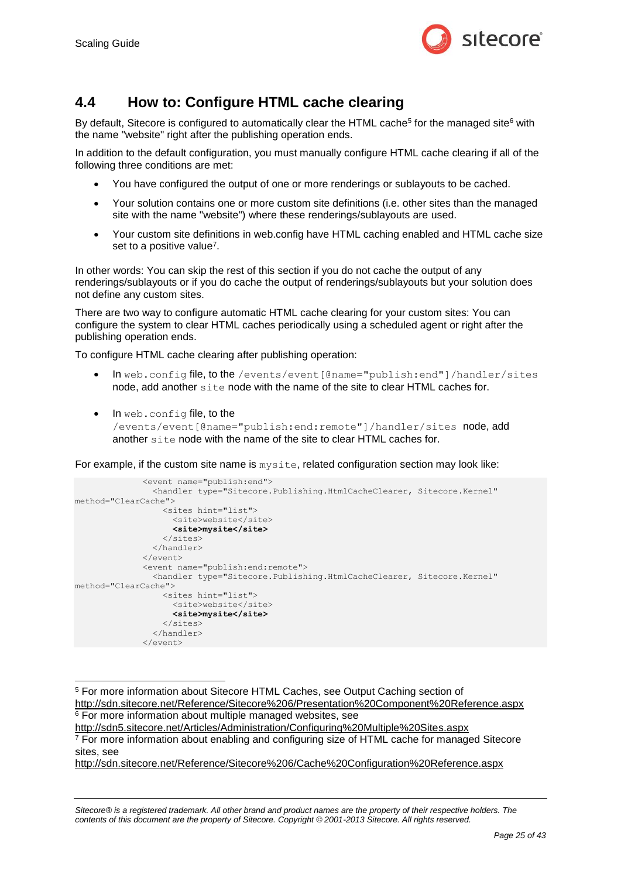

### <span id="page-24-0"></span>**4.4 How to: Configure HTML cache clearing**

By default, Sitecore is configured to automatically clear the HTML cache<sup>5</sup> for the managed site<sup>6</sup> with the name "website" right after the publishing operation ends.

In addition to the default configuration, you must manually configure HTML cache clearing if all of the following three conditions are met:

- You have configured the output of one or more renderings or sublayouts to be cached.
- Your solution contains one or more custom site definitions (i.e. other sites than the managed site with the name "website") where these renderings/sublayouts are used.
- Your custom site definitions in web.config have HTML caching enabled and HTML cache size set to a positive value<sup>7</sup>.

In other words: You can skip the rest of this section if you do not cache the output of any renderings/sublayouts or if you do cache the output of renderings/sublayouts but your solution does not define any custom sites.

There are two way to configure automatic HTML cache clearing for your custom sites: You can configure the system to clear HTML caches periodically using a scheduled agent or right after the publishing operation ends.

To configure HTML cache clearing after publishing operation:

- In web.config file, to the /events/event[@name="publish:end"]/handler/sites node, add another site node with the name of the site to clear HTML caches for.
- In web.config file, to the /events/event[@name="publish:end:remote"]/handler/sites node, add another site node with the name of the site to clear HTML caches for.

For example, if the custom site name is  $m$ ysite, related configuration section may look like:

```
 <event name="publish:end">
                 <handler type="Sitecore.Publishing.HtmlCacheClearer, Sitecore.Kernel" 
method="ClearCache">
                   <sites hint="list">
                     <site>website</site>
                     <site>mysite</site>
                   </sites>
                 </handler>
               </event>
               <event name="publish:end:remote">
                 <handler type="Sitecore.Publishing.HtmlCacheClearer, Sitecore.Kernel" 
method="ClearCache">
                   <sites hint="list">
                     <site>website</site>
                     <site>mysite</site>
                   </sites>
                 </handler>
              \langle/event>
```
<http://sdn.sitecore.net/Reference/Sitecore%206/Cache%20Configuration%20Reference.aspx>

<sup>-</sup><sup>5</sup> For more information about Sitecore HTML Caches, see Output Caching section of <http://sdn.sitecore.net/Reference/Sitecore%206/Presentation%20Component%20Reference.aspx> <sup>6</sup> For more information about multiple managed websites, see <http://sdn5.sitecore.net/Articles/Administration/Configuring%20Multiple%20Sites.aspx>

<sup>&</sup>lt;sup>7</sup> For more information about enabling and configuring size of HTML cache for managed Sitecore sites, see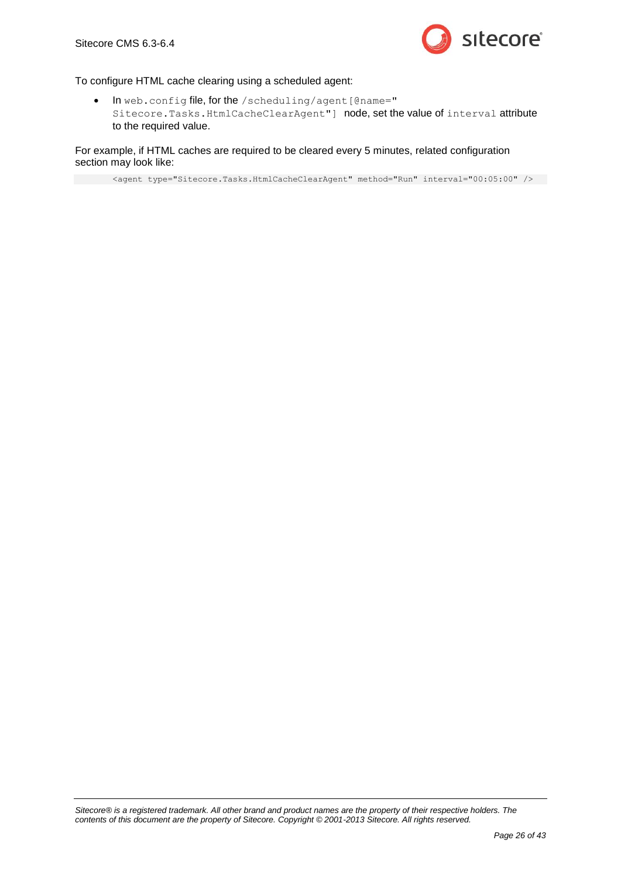

#### To configure HTML cache clearing using a scheduled agent:

 In web.config file, for the /scheduling/agent[@name=" Sitecore.Tasks.HtmlCacheClearAgent"] node, set the value of interval attribute to the required value.

#### For example, if HTML caches are required to be cleared every 5 minutes, related configuration section may look like:

<agent type="Sitecore.Tasks.HtmlCacheClearAgent" method="Run" interval="00:05:00" />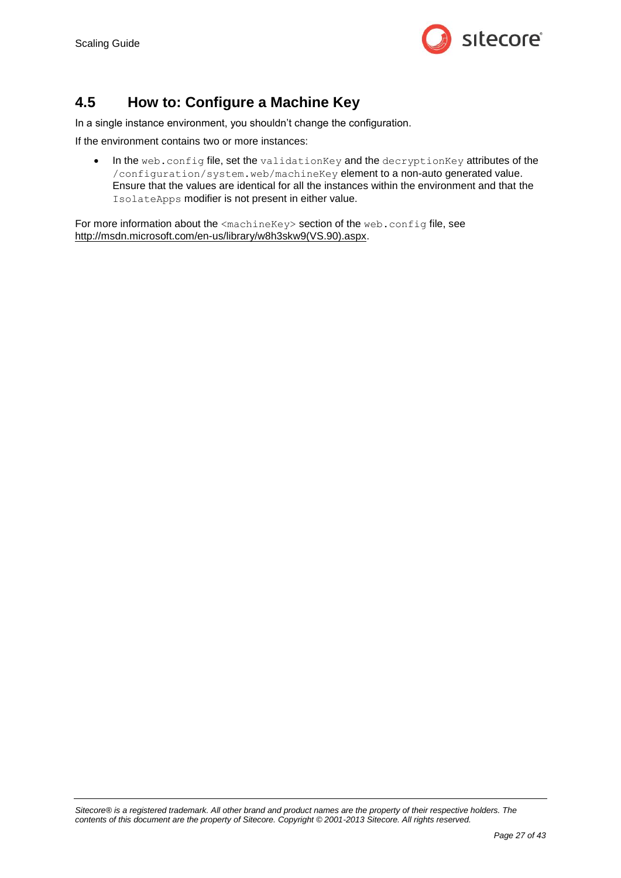

### <span id="page-26-0"></span>**4.5 How to: Configure a Machine Key**

In a single instance environment, you shouldn't change the configuration.

If the environment contains two or more instances:

• In the web.config file, set the validationKey and the decryptionKey attributes of the /configuration/system.web/machineKey element to a non-auto generated value. Ensure that the values are identical for all the instances within the environment and that the IsolateApps modifier is not present in either value.

For more information about the <machineKey> section of the web.config file, see [http://msdn.microsoft.com/en-us/library/w8h3skw9\(VS.90\).aspx.](http://msdn.microsoft.com/en-us/library/w8h3skw9(VS.90).aspx)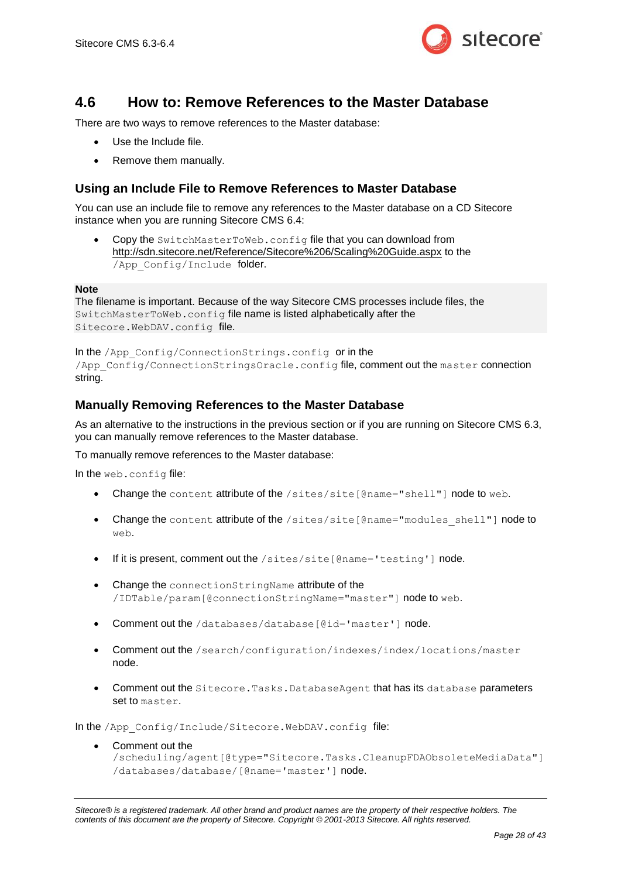

#### <span id="page-27-0"></span>**4.6 How to: Remove References to the Master Database**

There are two ways to remove references to the Master database:

- Use the Include file.
- Remove them manually.

#### <span id="page-27-1"></span>**Using an Include File to Remove References to Master Database**

You can use an include file to remove any references to the Master database on a CD Sitecore instance when you are running Sitecore CMS 6.4:

Copy the SwitchMasterToWeb.config file that you can download from <http://sdn.sitecore.net/Reference/Sitecore%206/Scaling%20Guide.aspx> to the /App\_Config/Include folder.

#### **Note**

The filename is important. Because of the way Sitecore CMS processes include files, the SwitchMasterToWeb.config file name is listed alphabetically after the Sitecore.WebDAV.config file.

In the /App\_Config/ConnectionStrings.config or in the /App\_Config/ConnectionStringsOracle.config file, comment out the master connection string.

#### <span id="page-27-2"></span>**Manually Removing References to the Master Database**

As an alternative to the instructions in the previous section or if you are running on Sitecore CMS 6.3, you can manually remove references to the Master database.

To manually remove references to the Master database:

In the web.config file:

- Change the content attribute of the /sites/site[@name="shell"] node to web.
- Change the content attribute of the /sites/site[@name="modules\_shell"] node to web.
- If it is present, comment out the  $/sites/site[@name='testing']$  node.
- Change the connectionStringName attribute of the /IDTable/param[@connectionStringName="master"] node to web.
- Comment out the /databases/database[@id='master'] node.
- Comment out the /search/configuration/indexes/index/locations/master node.
- Comment out the Sitecore.Tasks.DatabaseAgent that has its database parameters set to master.

In the /App\_Config/Include/Sitecore.WebDAV.config file:

 Comment out the /scheduling/agent[@type="Sitecore.Tasks.CleanupFDAObsoleteMediaData"] /databases/database/[@name='master'] node.

*Sitecore® is a registered trademark. All other brand and product names are the property of their respective holders. The contents of this document are the property of Sitecore. Copyright © 2001-2013 Sitecore. All rights reserved.*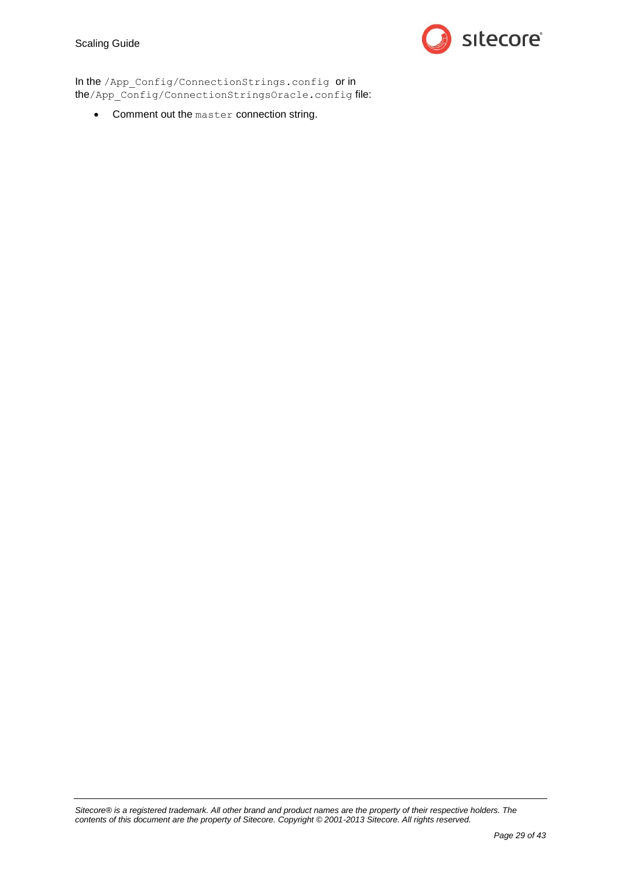#### Scaling Guide



In the /App\_Config/ConnectionStrings.config or in the/App\_Config/ConnectionStringsOracle.config file:

Comment out the master connection string.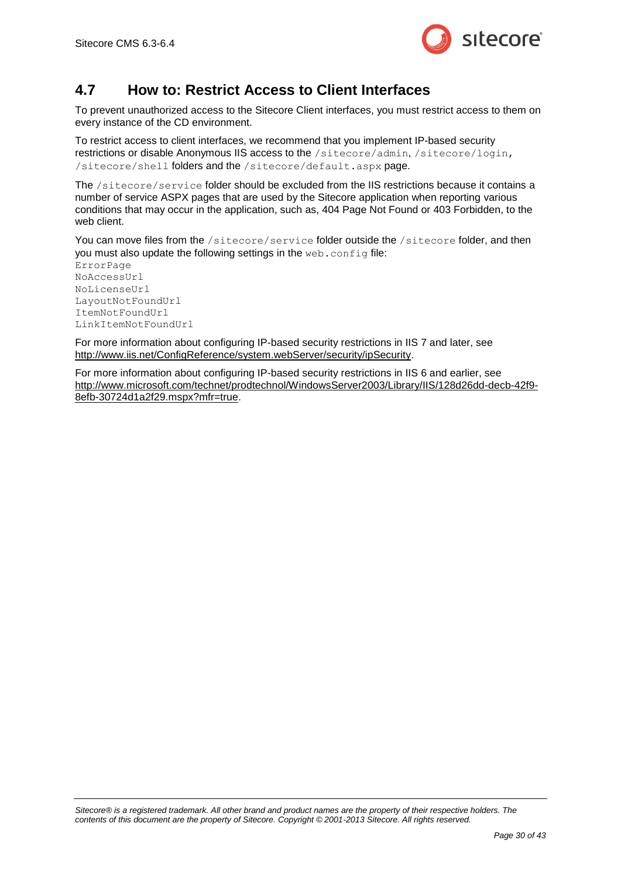

### <span id="page-29-0"></span>**4.7 How to: Restrict Access to Client Interfaces**

To prevent unauthorized access to the Sitecore Client interfaces, you must restrict access to them on every instance of the CD environment.

To restrict access to client interfaces, we recommend that you implement IP-based security restrictions or disable Anonymous IIS access to the /sitecore/admin, /sitecore/login, /sitecore/shell folders and the /sitecore/default.aspx page.

The /sitecore/service folder should be excluded from the IIS restrictions because it contains a number of service ASPX pages that are used by the Sitecore application when reporting various conditions that may occur in the application, such as, 404 Page Not Found or 403 Forbidden, to the web client.

You can move files from the /sitecore/service folder outside the /sitecore folder, and then you must also update the following settings in the web.config file:

ErrorPage NoAccessUrl NoLicenseUrl LayoutNotFoundUrl ItemNotFoundUrl LinkItemNotFoundUrl

For more information about configuring IP-based security restrictions in IIS 7 and later, see [http://www.iis.net/ConfigReference/system.webServer/security/ipSecurity.](http://www.iis.net/ConfigReference/system.webServer/security/ipSecurity)

For more information about configuring IP-based security restrictions in IIS 6 and earlier, see [http://www.microsoft.com/technet/prodtechnol/WindowsServer2003/Library/IIS/128d26dd-decb-42f9-](http://www.microsoft.com/technet/prodtechnol/WindowsServer2003/Library/IIS/128d26dd-decb-42f9-8efb-30724d1a2f29.mspx?mfr=true) [8efb-30724d1a2f29.mspx?mfr=true.](http://www.microsoft.com/technet/prodtechnol/WindowsServer2003/Library/IIS/128d26dd-decb-42f9-8efb-30724d1a2f29.mspx?mfr=true)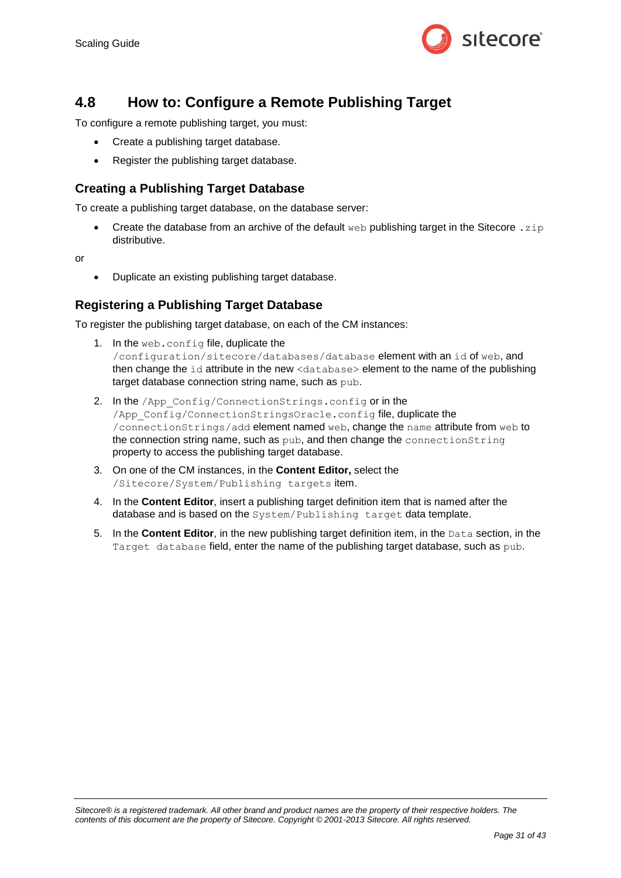

### <span id="page-30-0"></span>**4.8 How to: Configure a Remote Publishing Target**

To configure a remote publishing target, you must:

- Create a publishing target database.
- Register the publishing target database.

#### <span id="page-30-1"></span>**Creating a Publishing Target Database**

To create a publishing target database, on the database server:

Create the database from an archive of the default web publishing target in the Sitecore .  $z$ <sub>1</sub> $p$ distributive.

or

Duplicate an existing publishing target database.

#### <span id="page-30-2"></span>**Registering a Publishing Target Database**

To register the publishing target database, on each of the CM instances:

- 1. In the web.config file, duplicate the /configuration/sitecore/databases/database element with an id of web, and then change the id attribute in the new <database> element to the name of the publishing target database connection string name, such as pub.
- 2. In the /App\_Config/ConnectionStrings.config or in the /App\_Config/ConnectionStringsOracle.config file, duplicate the /connectionStrings/add element named web, change the name attribute from web to the connection string name, such as pub, and then change the connectionString property to access the publishing target database.
- 3. On one of the CM instances, in the **Content Editor,** select the /Sitecore/System/Publishing targets item.
- 4. In the **Content Editor**, insert a publishing target definition item that is named after the database and is based on the System/Publishing target data template.
- 5. In the **Content Editor**, in the new publishing target definition item, in the Data section, in the Target database field, enter the name of the publishing target database, such as pub.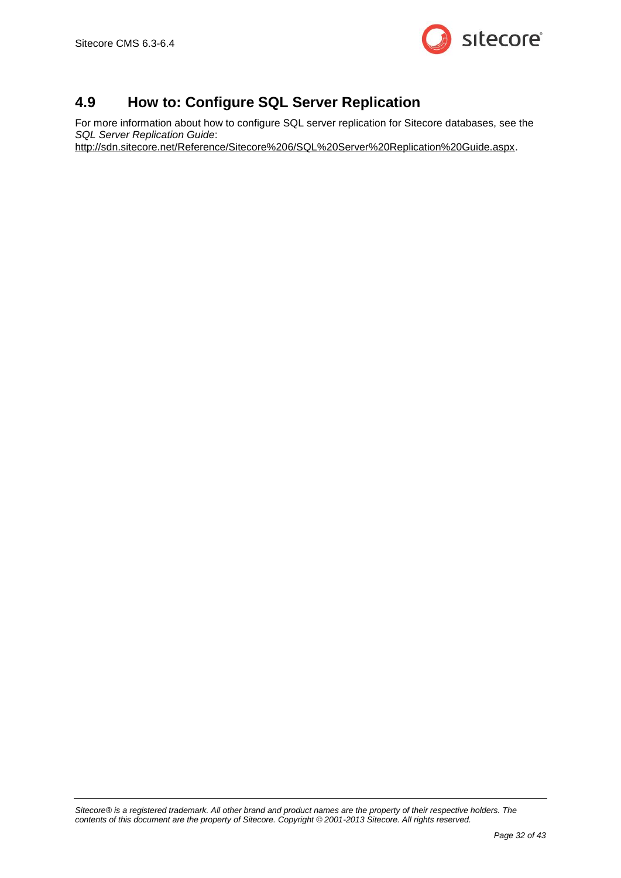

# <span id="page-31-0"></span>**4.9 How to: Configure SQL Server Replication**

For more information about how to configure SQL server replication for Sitecore databases, see the *SQL Server Replication Guide*:

[http://sdn.sitecore.net/Reference/Sitecore%206/SQL%20Server%20Replication%20Guide.aspx.](http://sdn.sitecore.net/Reference/Sitecore%206/SQL%20Server%20Replication%20Guide.aspx)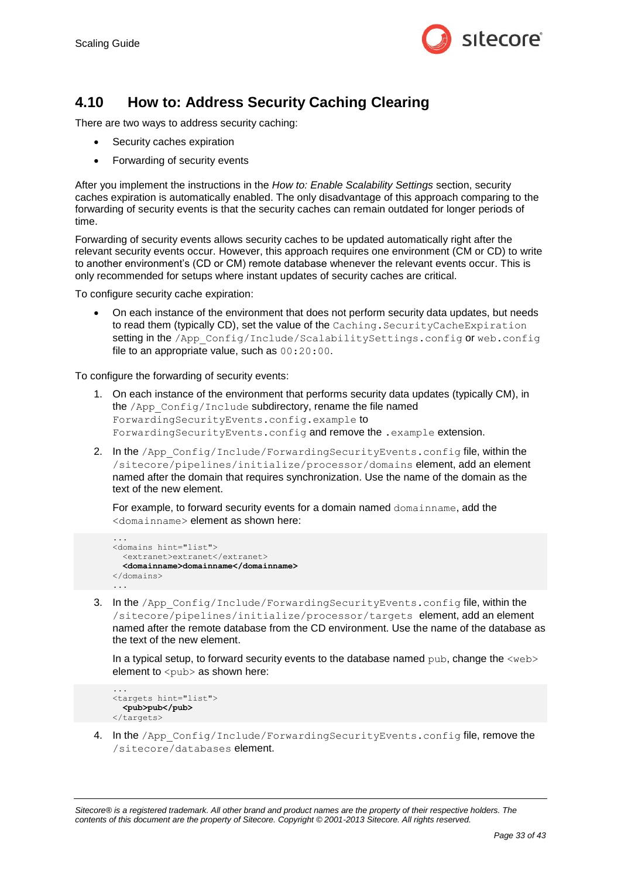

# <span id="page-32-0"></span>**4.10 How to: Address Security Caching Clearing**

There are two ways to address security caching:

- Security caches expiration
- Forwarding of security events

After you implement the instructions in the *How to: [Enable Scalability Settings](#page-21-0)* section, security caches expiration is automatically enabled. The only disadvantage of this approach comparing to the forwarding of security events is that the security caches can remain outdated for longer periods of time.

Forwarding of security events allows security caches to be updated automatically right after the relevant security events occur. However, this approach requires one environment (CM or CD) to write to another environment's (CD or CM) remote database whenever the relevant events occur. This is only recommended for setups where instant updates of security caches are critical.

To configure security cache expiration:

 On each instance of the environment that does not perform security data updates, but needs to read them (typically CD), set the value of the Caching. SecurityCacheExpiration setting in the /App\_Config/Include/ScalabilitySettings.config or web.config file to an appropriate value, such as 00:20:00.

To configure the forwarding of security events:

- 1. On each instance of the environment that performs security data updates (typically CM), in the /App\_Config/Include subdirectory, rename the file named ForwardingSecurityEvents.config.example to ForwardingSecurityEvents.config and remove the .example extension.
- 2. In the /App\_Config/Include/ForwardingSecurityEvents.config file, within the /sitecore/pipelines/initialize/processor/domains element, add an element named after the domain that requires synchronization. Use the name of the domain as the text of the new element.

For example, to forward security events for a domain named domainname, add the <domainname> element as shown here:

```
...
<domains hint="list">
   <extranet>extranet</extranet>
   <domainname>domainname</domainname>
</domains>
...
```
3. In the /App\_Config/Include/ForwardingSecurityEvents.config file, within the /sitecore/pipelines/initialize/processor/targets element, add an element named after the remote database from the CD environment. Use the name of the database as the text of the new element.

In a typical setup, to forward security events to the database named pub, change the  $\langle web \rangle$ element to  $\langle \text{pub} \rangle$  as shown here:

```
...
<targets hint="list">
   <pub>pub</pub>
</targets>
```
4. In the /App\_Config/Include/ForwardingSecurityEvents.config file, remove the /sitecore/databases element.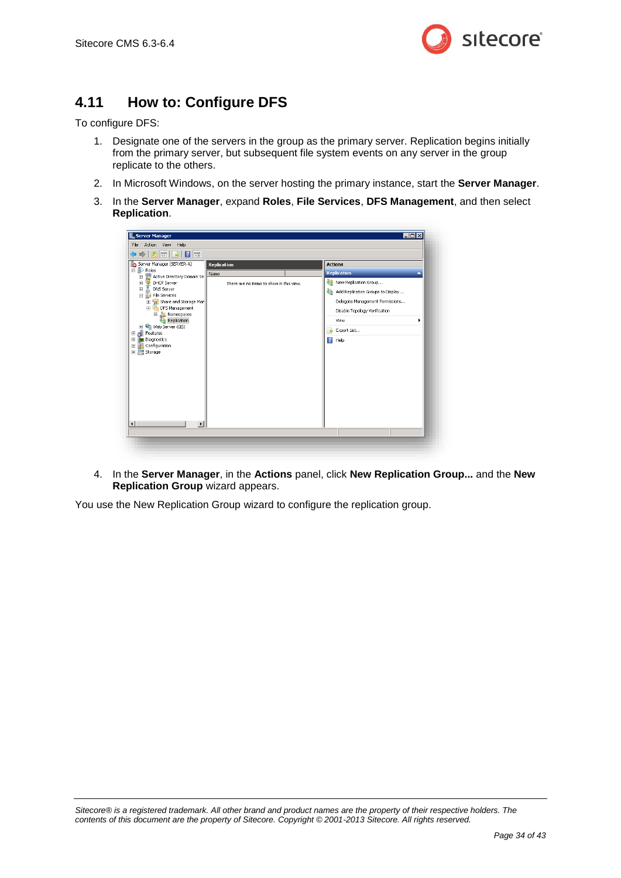

# <span id="page-33-0"></span>**4.11 How to: Configure DFS**

To configure DFS:

- 1. Designate one of the servers in the group as the primary server. Replication begins initially from the primary server, but subsequent file system events on any server in the group replicate to the others.
- 2. In Microsoft Windows, on the server hosting the primary instance, start the **Server Manager**.
- 3. In the **Server Manager**, expand **Roles**, **File Services**, **DFS Management**, and then select **Replication**.



4. In the **Server Manager**, in the **Actions** panel, click **New Replication Group...** and the **New Replication Group** wizard appears.

You use the New Replication Group wizard to configure the replication group.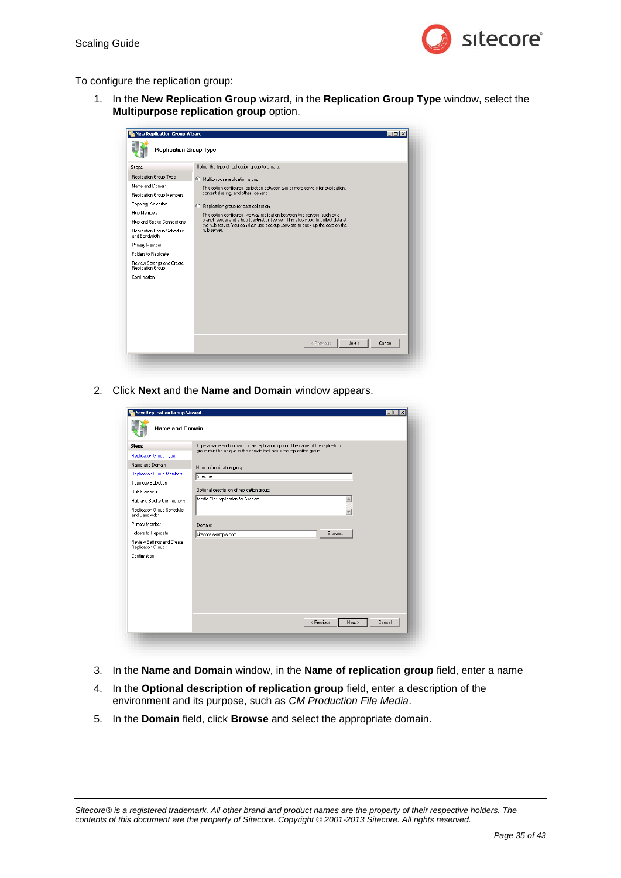

To configure the replication group:

1. In the **New Replication Group** wizard, in the **Replication Group Type** window, select the **Multipurpose replication group** option.

| New Replication Group Wizard<br><b>Replication Group Type</b>                                                                                                                                                                                                                                                         | $\blacksquare$ $\blacksquare$ $\times$                                                                                                                                                                                                                                                                                                                                                                                                                                                                                           |
|-----------------------------------------------------------------------------------------------------------------------------------------------------------------------------------------------------------------------------------------------------------------------------------------------------------------------|----------------------------------------------------------------------------------------------------------------------------------------------------------------------------------------------------------------------------------------------------------------------------------------------------------------------------------------------------------------------------------------------------------------------------------------------------------------------------------------------------------------------------------|
| Steps:<br>Replication Group Type<br>Name and Domain<br>Replication Group Members<br>Topology Selection<br><b>Hub Members</b><br>Hub and Spoke Connections<br>Replication Group Schedule<br>and Bandwidth<br>Primary Member<br>Folders to Replicate<br>Review Settings and Create<br>Replication Group<br>Confirmation | Select the type of replication group to create.<br>G.<br>Multipurpose replication group<br>This option configures replication between two or more servers for publication,<br>content sharing, and other scenarios.<br>Replication group for data collection<br>O<br>This option configures two-way replication between two servers, such as a<br>branch server and a hub (destination) server. This allows you to collect data at<br>the hub server. You can then use backup software to back up the data on the<br>hub server. |
|                                                                                                                                                                                                                                                                                                                       | < Previous<br>Next ><br>Cancel                                                                                                                                                                                                                                                                                                                                                                                                                                                                                                   |

2. Click **Next** and the **Name and Domain** window appears.

| Steps:                                          | Type a name and domain for the replication group. The name of the replication<br>group must be unique in the domain that hosts the replication group. |
|-------------------------------------------------|-------------------------------------------------------------------------------------------------------------------------------------------------------|
| <b>Replication Group Type</b>                   |                                                                                                                                                       |
| Name and Domain                                 | Name of replication group:                                                                                                                            |
| <b>Replication Group Members</b>                | Sitecore                                                                                                                                              |
| Topology Selection                              |                                                                                                                                                       |
| <b>Hub Members</b>                              | Optional description of replication group:                                                                                                            |
| Hub and Spoke Connections                       | Media Files replication for Sitecore                                                                                                                  |
| Replication Group Schedule<br>and Bandwidth     |                                                                                                                                                       |
| Primary Member                                  | Domain:                                                                                                                                               |
| Folders to Replicate                            | Browse<br>sitecore.example.com                                                                                                                        |
| Review Settings and Create<br>Replication Group |                                                                                                                                                       |
| Confirmation                                    |                                                                                                                                                       |
|                                                 |                                                                                                                                                       |
|                                                 |                                                                                                                                                       |
|                                                 |                                                                                                                                                       |
|                                                 |                                                                                                                                                       |
|                                                 |                                                                                                                                                       |
|                                                 |                                                                                                                                                       |

- 3. In the **Name and Domain** window, in the **Name of replication group** field, enter a name
- 4. In the **Optional description of replication group** field, enter a description of the environment and its purpose, such as *CM Production File Media*.
- 5. In the **Domain** field, click **Browse** and select the appropriate domain.

*Sitecore® is a registered trademark. All other brand and product names are the property of their respective holders. The contents of this document are the property of Sitecore. Copyright © 2001-2013 Sitecore. All rights reserved.*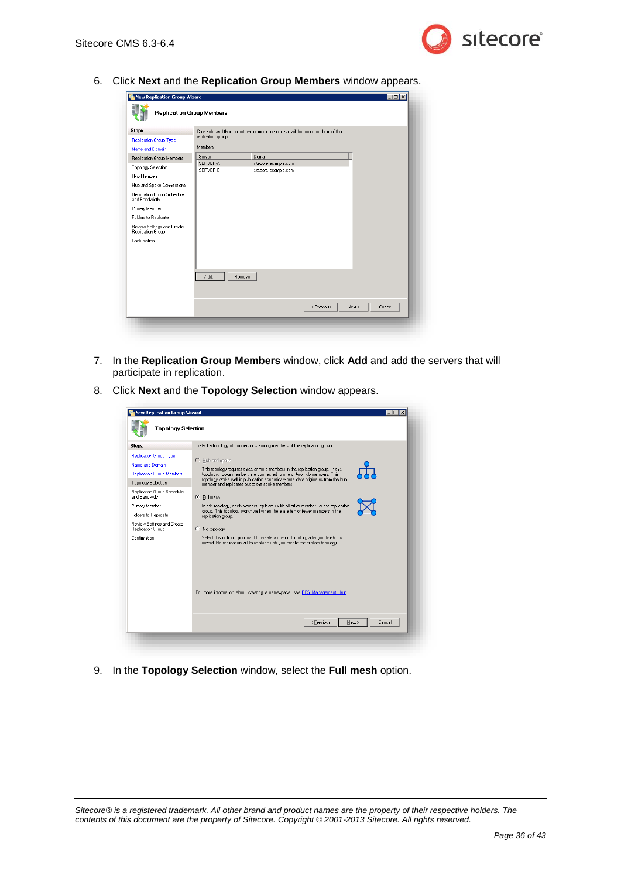

6. Click **Next** and the **Replication Group Members** window appears.

| Steps:                                          |                      | Click Add and then select two or more servers that will become members of the |            |                  |  |
|-------------------------------------------------|----------------------|-------------------------------------------------------------------------------|------------|------------------|--|
| <b>Replication Group Type</b>                   | replication group.   |                                                                               |            |                  |  |
| Name and Domain                                 | Members:             |                                                                               |            |                  |  |
| Replication Group Members                       | Server               | Domain                                                                        |            |                  |  |
| Topology Selection                              | SERVER-A<br>SERVER-B | sitecore.example.com<br>sitecore.example.com                                  |            |                  |  |
| <b>Hub Members</b>                              |                      |                                                                               |            |                  |  |
| Hub and Spoke Connections                       |                      |                                                                               |            |                  |  |
| Replication Group Schedule<br>and Bandwidth     |                      |                                                                               |            |                  |  |
| Primary Member                                  |                      |                                                                               |            |                  |  |
| Folders to Replicate                            |                      |                                                                               |            |                  |  |
| Review Settings and Create<br>Replication Group |                      |                                                                               |            |                  |  |
| Confirmation                                    |                      |                                                                               |            |                  |  |
|                                                 |                      |                                                                               |            |                  |  |
|                                                 |                      |                                                                               |            |                  |  |
|                                                 |                      |                                                                               |            |                  |  |
|                                                 | Add                  | Remove                                                                        |            |                  |  |
|                                                 |                      |                                                                               |            |                  |  |
|                                                 |                      |                                                                               |            |                  |  |
|                                                 |                      |                                                                               |            |                  |  |
|                                                 |                      |                                                                               | < Previous | Next ><br>Cancel |  |

- 7. In the **Replication Group Members** window, click **Add** and add the servers that will participate in replication.
- 8. Click **Next** and the **Topology Selection** window appears.

| <b>New Replication Group Wizard</b>                                                                                                                                                                        | - 101                                                                                                                                                                                                                                                                                                                                                                                                                                                                                                                               |
|------------------------------------------------------------------------------------------------------------------------------------------------------------------------------------------------------------|-------------------------------------------------------------------------------------------------------------------------------------------------------------------------------------------------------------------------------------------------------------------------------------------------------------------------------------------------------------------------------------------------------------------------------------------------------------------------------------------------------------------------------------|
| <b>Topology Selection</b>                                                                                                                                                                                  |                                                                                                                                                                                                                                                                                                                                                                                                                                                                                                                                     |
| Steps:                                                                                                                                                                                                     | Select a topology of connections among members of the replication group.                                                                                                                                                                                                                                                                                                                                                                                                                                                            |
| <b>Replication Group Type</b><br>Name and Domain<br><b>Replication Group Members</b><br><b>Topology Selection</b><br>Replication Group Schedule<br>and Bandwidth<br>Primary Member<br>Folders to Replicate | $C$ Hub and spoke<br>This topology requires three or more members in the replication group. In this<br>topology, spoke members are connected to one or two hub members. This<br>topology works well in publication scenarios where data originates from the hub<br>member and replicates out to the spoke members.<br>$\bullet$ Full mesh<br>In this topology, each member replicates with all other members of the replication<br>group. This topology works well when there are ten or fewer members in the<br>replication group. |
| Review Settings and Create<br>Replication Group                                                                                                                                                            | No topology<br>О.                                                                                                                                                                                                                                                                                                                                                                                                                                                                                                                   |
| Confirmation                                                                                                                                                                                               | Select this option if you want to create a custom topology after you finish this<br>wizard. No replication will take place until you create the custom topology.<br>For more information about creating a namespace, see DFS Management Help                                                                                                                                                                                                                                                                                        |
|                                                                                                                                                                                                            | < Previous<br>Next ><br>Cancel                                                                                                                                                                                                                                                                                                                                                                                                                                                                                                      |

9. In the **Topology Selection** window, select the **Full mesh** option.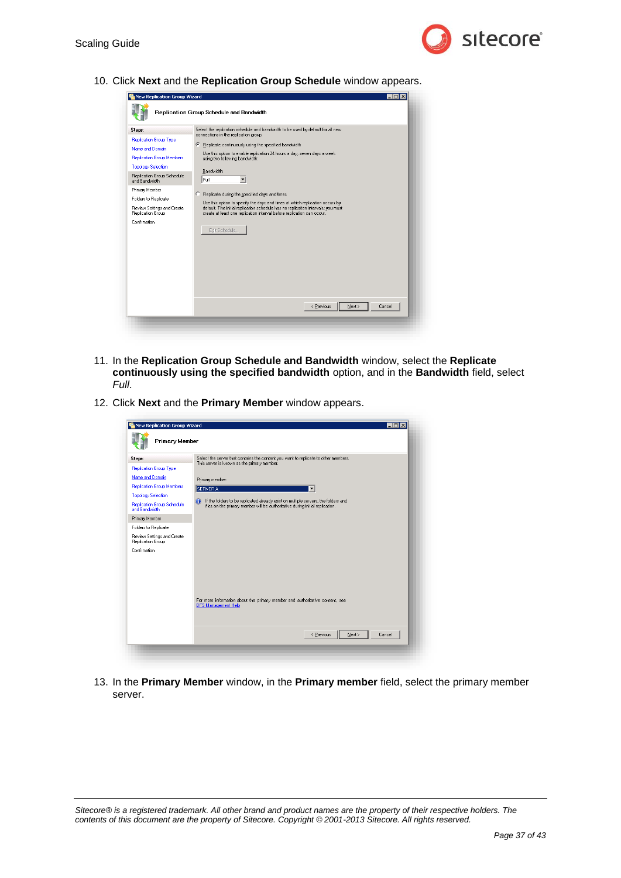

10. Click **Next** and the **Replication Group Schedule** window appears.

| Steps:                                                                                                                                                                                                                                                                               | Select the replication schedule and bandwidth to be used by default for all new<br>connections in the replication group.                                                                                                                                                                                                                                                                                                                                                                                          |
|--------------------------------------------------------------------------------------------------------------------------------------------------------------------------------------------------------------------------------------------------------------------------------------|-------------------------------------------------------------------------------------------------------------------------------------------------------------------------------------------------------------------------------------------------------------------------------------------------------------------------------------------------------------------------------------------------------------------------------------------------------------------------------------------------------------------|
| <b>Replication Group Type</b><br>Name and Domain<br><b>Replication Group Members</b><br><b>Topology Selection</b><br>Replication Group Schedule<br>and Bandwidth<br>Primary Member<br><b>Folders to Replicate</b><br>Review Settings and Create<br>Replication Group<br>Confirmation | Replicate continuously using the specified bandwidth<br>G<br>Use this option to enable replication 24 hours a day, seven days a week<br>using the following bandwidth:<br>Bandwidth:<br>Full<br>Replicate during the specified days and times<br>C<br>Use this option to specify the days and times at which replication occurs by<br>default. The initial replication schedule has no replication intervals; you must<br>create at least one replication interval before replication can occur.<br>Edit Schedule |
|                                                                                                                                                                                                                                                                                      | Cancel<br>< Previous<br>Next >                                                                                                                                                                                                                                                                                                                                                                                                                                                                                    |

- 11. In the **Replication Group Schedule and Bandwidth** window, select the **Replicate continuously using the specified bandwidth** option, and in the **Bandwidth** field, select *Full*.
- 12. Click **Next** and the **Primary Member** window appears.

| <b>New Replication Group Wizard</b><br>Primary Member | $\Box$ olx                                                                                                                         |
|-------------------------------------------------------|------------------------------------------------------------------------------------------------------------------------------------|
| Steps:                                                | Select the server that contains the content you want to replicate to other members.<br>This server is known as the primary member. |
| <b>Replication Group Type</b>                         |                                                                                                                                    |
| Name and Domain                                       | Primary member:                                                                                                                    |
| <b>Replication Group Members</b>                      | SERVER-A                                                                                                                           |
| <b>Topology Selection</b>                             | A<br>If the folders to be replicated already exist on multiple servers, the folders and                                            |
| <b>Replication Group Schedule</b><br>and Bandwidth    | files on the primary member will be authoritative during initial replication.                                                      |
| Primary Member                                        |                                                                                                                                    |
| Folders to Replicate                                  |                                                                                                                                    |
| Review Settings and Create<br>Replication Group       |                                                                                                                                    |
| Confirmation                                          |                                                                                                                                    |
|                                                       |                                                                                                                                    |
|                                                       |                                                                                                                                    |
|                                                       |                                                                                                                                    |
|                                                       |                                                                                                                                    |
|                                                       | For more information about the primary member and authoritative content, see<br><b>DFS Management Help</b>                         |
|                                                       | < Previous<br>Next ><br>Cancel                                                                                                     |
|                                                       |                                                                                                                                    |

13. In the **Primary Member** window, in the **Primary member** field, select the primary member server.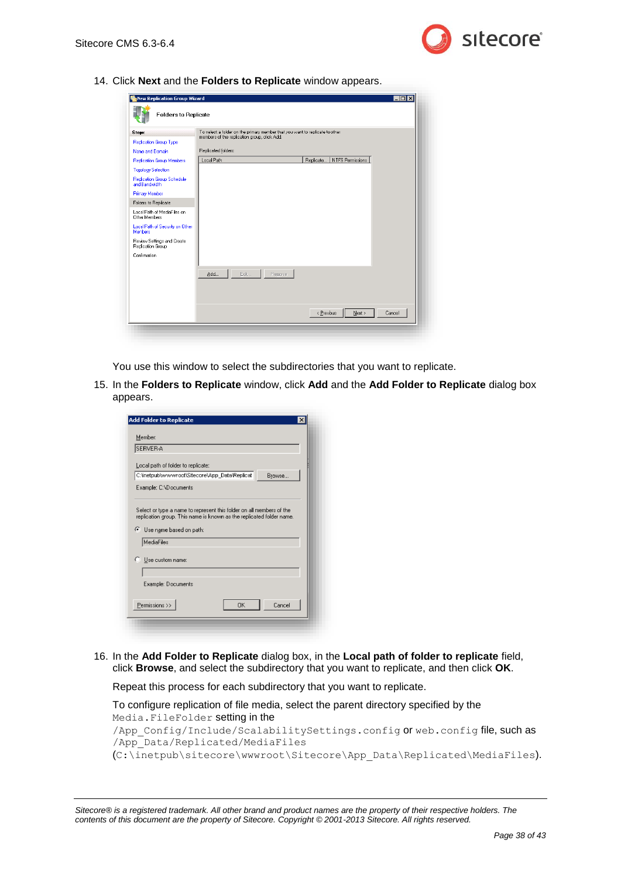

14. Click **Next** and the **Folders to Replicate** window appears.

| New Replication Group Wizard<br><b>Folders to Replicate</b> |                                                                              |                               | $\Box$ olx |
|-------------------------------------------------------------|------------------------------------------------------------------------------|-------------------------------|------------|
| Steps:                                                      | To select a folder on the primary member that you want to replicate to other |                               |            |
| Replication Group Type                                      | members of the replication group, click Add.                                 |                               |            |
| Name and Domain                                             | Replicated folders:                                                          |                               |            |
| <b>Replication Group Members</b>                            | Local Path                                                                   | NTFS Permissions<br>Replicate |            |
| <b>Topology Selection</b>                                   |                                                                              |                               |            |
| Replication Group Schedule<br>and Bandwidth                 |                                                                              |                               |            |
| <b>Primary Member</b>                                       |                                                                              |                               |            |
| Folders to Replicate                                        |                                                                              |                               |            |
| Local Path of MediaFiles on<br>Other Members                |                                                                              |                               |            |
| Local Path of Security on Other<br><b>Members</b>           |                                                                              |                               |            |
| Review Settings and Create<br>Replication Group             |                                                                              |                               |            |
| Confirmation                                                |                                                                              |                               |            |
|                                                             | Edit.,<br>Add<br>Remove                                                      |                               |            |
|                                                             |                                                                              |                               |            |
|                                                             |                                                                              | Next ><br>< Previous          | Cancel     |

You use this window to select the subdirectories that you want to replicate.

15. In the **Folders to Replicate** window, click **Add** and the **Add Folder to Replicate** dialog box appears.

| <b>SERVER A</b>                                     |                                                                                                                                              |        |
|-----------------------------------------------------|----------------------------------------------------------------------------------------------------------------------------------------------|--------|
| Local path of folder to replicate:                  |                                                                                                                                              |        |
|                                                     | C:\inetpub\wwwwroot\Sitecore\App Data\Replicat                                                                                               | Browse |
| Example: C:\Documents                               |                                                                                                                                              |        |
| MediaFiles                                          | Select or type a name to represent this folder on all members of the<br>replication group. This name is known as the replicated folder name. |        |
|                                                     |                                                                                                                                              |        |
| Use custom name:                                    |                                                                                                                                              |        |
|                                                     |                                                                                                                                              |        |
| Use name based on path:<br>C.<br>Example: Documents |                                                                                                                                              |        |
|                                                     |                                                                                                                                              |        |

16. In the **Add Folder to Replicate** dialog box, in the **Local path of folder to replicate** field, click **Browse**, and select the subdirectory that you want to replicate, and then click **OK**.

Repeat this process for each subdirectory that you want to replicate.

To configure replication of file media, select the parent directory specified by the Media.FileFolder setting in the /App Config/Include/ScalabilitySettings.config or web.config file, such as /App\_Data/Replicated/MediaFiles (C:\inetpub\sitecore\wwwroot\Sitecore\App\_Data\Replicated\MediaFiles).

*Sitecore® is a registered trademark. All other brand and product names are the property of their respective holders. The contents of this document are the property of Sitecore. Copyright © 2001-2013 Sitecore. All rights reserved.*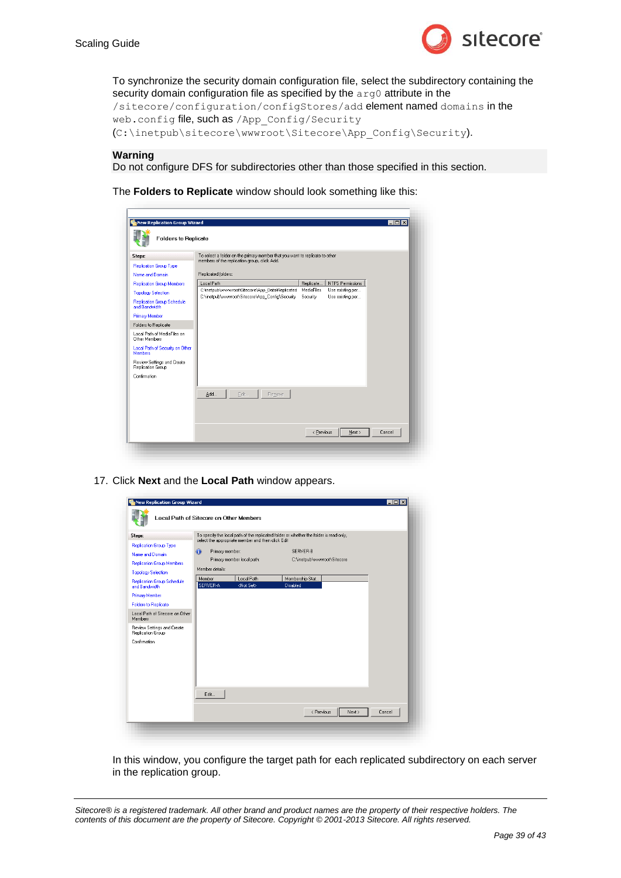To synchronize the security domain configuration file, select the subdirectory containing the security domain configuration file as specified by the  $arg0$  attribute in the

/sitecore/configuration/configStores/add element named domains in the web.config file, such as /App\_Config/Security (C:\inetpub\sitecore\wwwroot\Sitecore\App\_Config\Security).

#### **Warning**

Do not configure DFS for subdirectories other than those specified in this section.

The **Folders to Replicate** window should look something like this:

| Steps:                                              | To select a folder on the primary member that you want to replicate to other<br>members of the replication group, click Add. |                                                                |  |
|-----------------------------------------------------|------------------------------------------------------------------------------------------------------------------------------|----------------------------------------------------------------|--|
| <b>Replication Group Type</b>                       |                                                                                                                              |                                                                |  |
| Name and Domain                                     | Replicated folders:                                                                                                          |                                                                |  |
| <b>Replication Group Members</b>                    | Local Path                                                                                                                   | <b>NTFS Permissions</b><br>Replicate                           |  |
| <b>Topology Selection</b>                           | C:Vnetpub\wwwwroot\Sitecore\App_Data\Replicated<br>C:\inetpub\wwwroot\Sitecore\App Config\Security                           | MediaFiles<br>Use existing per<br>Security<br>Use existing per |  |
| <b>Replication Group Schedule</b><br>and Bandwidth  |                                                                                                                              |                                                                |  |
| <b>Primary Member</b>                               |                                                                                                                              |                                                                |  |
| Folders to Replicate                                |                                                                                                                              |                                                                |  |
| Local Path of MediaFiles on<br><b>Other Members</b> |                                                                                                                              |                                                                |  |
| Local Path of Security on Other<br><b>Members</b>   |                                                                                                                              |                                                                |  |
| Review Settings and Create<br>Replication Group     |                                                                                                                              |                                                                |  |
| Confirmation                                        |                                                                                                                              |                                                                |  |
|                                                     |                                                                                                                              |                                                                |  |
|                                                     | Edit<br>Add<br>Remove                                                                                                        |                                                                |  |
|                                                     |                                                                                                                              |                                                                |  |
|                                                     |                                                                                                                              |                                                                |  |
|                                                     |                                                                                                                              |                                                                |  |

17. Click **Next** and the **Local Path** window appears.

| Steps:<br>Replication Group Type<br>Name and Domain<br><b>Replication Group Members</b><br><b>Topology Selection</b> | select the appropriate member and then click Edit<br>$\bigcirc$<br>Primary member:<br>Primary member local path:<br>Member details: | To specify the local path of the replicated folder or whether the folder is read-only,<br>SERVER-R<br>C:\inetpub\www.oot\Sitecore |  |
|----------------------------------------------------------------------------------------------------------------------|-------------------------------------------------------------------------------------------------------------------------------------|-----------------------------------------------------------------------------------------------------------------------------------|--|
| <b>Replication Group Schedule</b><br>and Bandwidth                                                                   | Member<br>Local Path<br>SERVER-A<br><not set=""></not>                                                                              | Membership Stat<br>Disabled                                                                                                       |  |
| <b>Primary Member</b>                                                                                                |                                                                                                                                     |                                                                                                                                   |  |
| <b>Folders to Replicate</b>                                                                                          |                                                                                                                                     |                                                                                                                                   |  |
| Local Path of Sitecore on Other<br>Members                                                                           |                                                                                                                                     |                                                                                                                                   |  |
| Review Settings and Create<br>Replication Group                                                                      |                                                                                                                                     |                                                                                                                                   |  |
| Confirmation                                                                                                         |                                                                                                                                     |                                                                                                                                   |  |
|                                                                                                                      |                                                                                                                                     |                                                                                                                                   |  |

In this window, you configure the target path for each replicated subdirectory on each server in the replication group.

*Sitecore® is a registered trademark. All other brand and product names are the property of their respective holders. The contents of this document are the property of Sitecore. Copyright © 2001-2013 Sitecore. All rights reserved.*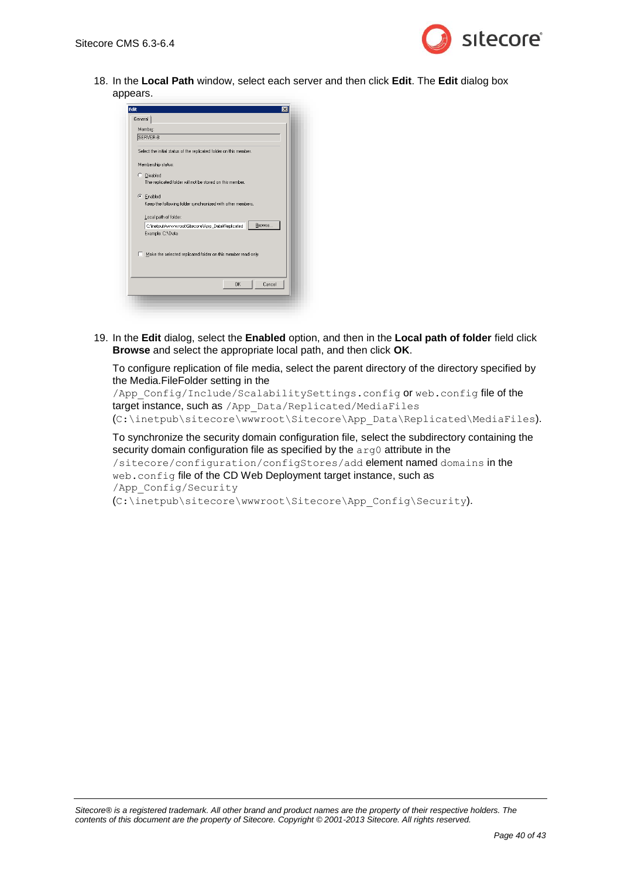

18. In the **Local Path** window, select each server and then click **Edit**. The **Edit** dialog box appears.

|          | Member:                                                            |
|----------|--------------------------------------------------------------------|
|          | SERVER-B                                                           |
|          | Select the initial status of the replicated folder on this member. |
|          |                                                                    |
|          | Membership status:                                                 |
| C.       | Disabled                                                           |
|          | The replicated folder will not be stored on this member.           |
|          |                                                                    |
| $\sigma$ | Enabled                                                            |
|          | Keep the following folder synchronized with other members.         |
|          | Local path of folder:                                              |
|          | Browse<br>C:\inetpub\wwwwroot\Sitecore\App_Data\Replicated         |
|          | Example: C:\Data                                                   |
|          |                                                                    |
|          | Make the selected replicated folder on this member read-only.      |
|          |                                                                    |
|          |                                                                    |
| г        |                                                                    |
|          |                                                                    |

19. In the **Edit** dialog, select the **Enabled** option, and then in the **Local path of folder** field click **Browse** and select the appropriate local path, and then click **OK**.

To configure replication of file media, select the parent directory of the directory specified by the Media.FileFolder setting in the

/App\_Config/Include/ScalabilitySettings.config or web.config file of the target instance, such as /App\_Data/Replicated/MediaFiles (C:\inetpub\sitecore\wwwroot\Sitecore\App\_Data\Replicated\MediaFiles).

To synchronize the security domain configuration file, select the subdirectory containing the security domain configuration file as specified by the arg0 attribute in the /sitecore/configuration/configStores/add element named domains in the web.config file of the CD Web Deployment target instance, such as /App\_Config/Security (C:\inetpub\sitecore\wwwroot\Sitecore\App\_Config\Security).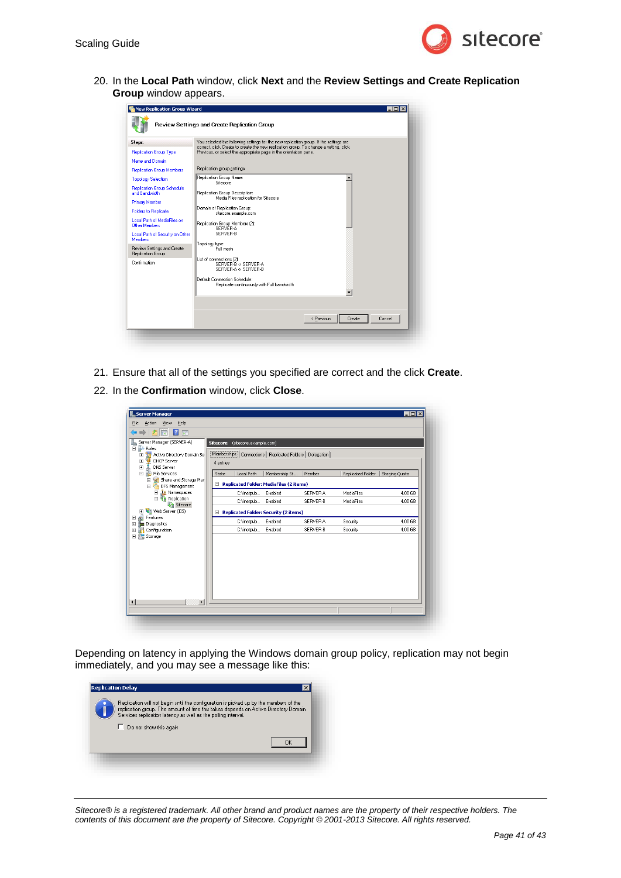

20. In the **Local Path** window, click **Next** and the **Review Settings and Create Replication Group** window appears.

| <b>Replication Group Type</b><br>Name and Domain           | correct, click Create to create the new replication group. To change a setting, click<br>Previous, or select the appropriate page in the orientation pane. |
|------------------------------------------------------------|------------------------------------------------------------------------------------------------------------------------------------------------------------|
|                                                            |                                                                                                                                                            |
|                                                            |                                                                                                                                                            |
| <b>Replication Group Members</b>                           | Replication group settings:                                                                                                                                |
| <b>Topology Selection</b>                                  | Replication Group Name:<br>Sitecore                                                                                                                        |
| <b>Replication Group Schedule</b><br>and Bandwidth         | Replication Group Description:                                                                                                                             |
| <b>Primary Member</b>                                      | Media Files replication for Sitecore                                                                                                                       |
| <b>Folders to Replicate</b>                                | Domain of Replication Group:<br>sitecore.example.com                                                                                                       |
| <b>Local Path of MediaFiles on</b><br><b>Other Members</b> | Replication Group Members (2):<br>SERVER-A                                                                                                                 |
| Local Path of Security on Other<br><b>Members</b>          | SERVER-B                                                                                                                                                   |
| Review Settings and Create<br>Replication Group            | Topology type:<br>Full mesh                                                                                                                                |
| Confirmation                                               | List of connections (2):<br>SERVER B > SERVER A<br>SERVER-A -> SERVER-B                                                                                    |
|                                                            | Default Connection Schedule:<br>Replicate continuously with Full bandwidth                                                                                 |
|                                                            |                                                                                                                                                            |
|                                                            |                                                                                                                                                            |

- 21. Ensure that all of the settings you specified are correct and the click **Create**.
- 22. In the **Confirmation** window, click **Close**.

| File<br>Action<br>View<br>Help<br>12 団<br>$\ \vec{r}\ $                                                                                                                                                                                                                                                  |                                                                                                                                                                                   |               |                      |                          |                    |
|----------------------------------------------------------------------------------------------------------------------------------------------------------------------------------------------------------------------------------------------------------------------------------------------------------|-----------------------------------------------------------------------------------------------------------------------------------------------------------------------------------|---------------|----------------------|--------------------------|--------------------|
| Server Manager (SERVER-A)<br>i.<br>$\Box$ Roles<br>Active Directory Domain Se<br>$\blacksquare$<br><b>DHCP Server</b><br>$\blacksquare$<br>$\boxed{\textcolor{blue}{\textbf{+}}}$<br>DNS Server<br>File Services<br>同<br>E.<br>Share and Storage Mar<br>$\boxed{\textcolor{blue}{\textbf{+}}}$<br>$\Box$ | Sitecore (sitecore.example.com)<br>Memberships   Connections   Replicated Folders   Delegation  <br>4 entries<br>Local Path<br>State<br>□ Replicated Folder: MediaFiles (2 items) | Membership St | Member               | Replicated Folder        | Staging Quota      |
| DFS Management<br>Namespaces<br>$\boxed{+}$<br>□ <sup>1</sup> Replication<br>Sitecore<br>El Veb Server (IIS)<br>Features<br>$\begin{array}{c} \hline \end{array}$<br>$\blacksquare$<br><b>Diagnostics</b><br>Configuration<br>$\blacksquare$<br>Storage<br>$\overline{+}$                                | C:\inetpub Enabled<br>C:\inetpub Enabled<br>Replicated Folder: Security (2 items)                                                                                                 |               | SERVER-A<br>SERVER-R | MediaFiles<br>MediaFiles | 4.00 GB<br>4.00 GB |
|                                                                                                                                                                                                                                                                                                          | C:\inetpub Enabled<br>C:\inetpub Enabled                                                                                                                                          |               | SERVER-A<br>SERVER-B | Security<br>Security     | 4.00 GB<br>4.00 GB |
| $\left  \cdot \right $<br>$\blacktriangleright$                                                                                                                                                                                                                                                          |                                                                                                                                                                                   |               |                      |                          |                    |

Depending on latency in applying the Windows domain group policy, replication may not begin immediately, and you may see a message like this:

| Replication will not begin until the configuration is picked up by the members of the<br>replication group. The amount of time this takes depends on Active Directory Domain<br>Services replication latency as well as the polling interval. |
|-----------------------------------------------------------------------------------------------------------------------------------------------------------------------------------------------------------------------------------------------|
| Do not show this again                                                                                                                                                                                                                        |
|                                                                                                                                                                                                                                               |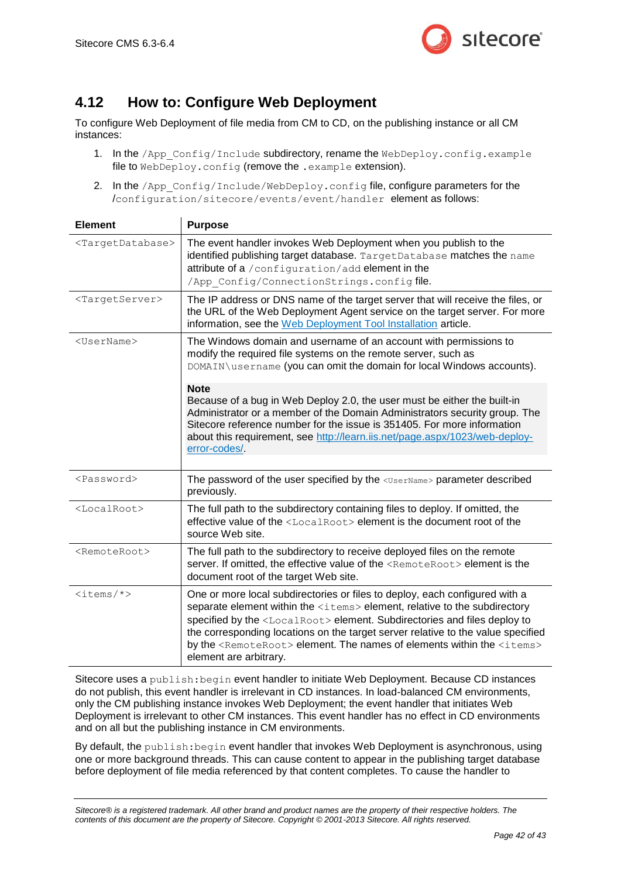

# <span id="page-41-0"></span>**4.12 How to: Configure Web Deployment**

To configure Web Deployment of file media from CM to CD, on the publishing instance or all CM instances:

- 1. In the /App\_Config/Include subdirectory, rename the WebDeploy.config.example file to WebDeploy.config (remove the .example extension).
- 2. In the /App\_Config/Include/WebDeploy.config file, configure parameters for the /configuration/sitecore/events/event/handler element as follows:

| <b>Element</b>                    | <b>Purpose</b>                                                                                                                                                                                                                                                                                                                                                                                                                                                           |
|-----------------------------------|--------------------------------------------------------------------------------------------------------------------------------------------------------------------------------------------------------------------------------------------------------------------------------------------------------------------------------------------------------------------------------------------------------------------------------------------------------------------------|
| <targetdatabase></targetdatabase> | The event handler invokes Web Deployment when you publish to the<br>identified publishing target database. TargetDatabase matches the name<br>attribute of a /configuration/add element in the<br>/App Config/ConnectionStrings.configfile.                                                                                                                                                                                                                              |
| <targetserver></targetserver>     | The IP address or DNS name of the target server that will receive the files, or<br>the URL of the Web Deployment Agent service on the target server. For more<br>information, see the Web Deployment Tool Installation article.                                                                                                                                                                                                                                          |
| <username></username>             | The Windows domain and username of an account with permissions to<br>modify the required file systems on the remote server, such as<br>DOMAIN\username (you can omit the domain for local Windows accounts).                                                                                                                                                                                                                                                             |
|                                   | <b>Note</b><br>Because of a bug in Web Deploy 2.0, the user must be either the built-in<br>Administrator or a member of the Domain Administrators security group. The<br>Sitecore reference number for the issue is 351405. For more information<br>about this requirement, see http://learn.iis.net/page.aspx/1023/web-deploy-<br>error-codes/                                                                                                                          |
| <password></password>             | The password of the user specified by the <username> parameter described<br/>previously.</username>                                                                                                                                                                                                                                                                                                                                                                      |
| <localroot></localroot>           | The full path to the subdirectory containing files to deploy. If omitted, the<br>effective value of the <localroot> element is the document root of the<br/>source Web site.</localroot>                                                                                                                                                                                                                                                                                 |
| <remoteroot></remoteroot>         | The full path to the subdirectory to receive deployed files on the remote<br>server. If omitted, the effective value of the <remoteroot> element is the<br/>document root of the target Web site.</remoteroot>                                                                                                                                                                                                                                                           |
| $\text{times}/\text{*}$           | One or more local subdirectories or files to deploy, each configured with a<br>separate element within the <items> element, relative to the subdirectory<br/>specified by the <localroot> element. Subdirectories and files deploy to<br/>the corresponding locations on the target server relative to the value specified<br/>by the <remoteroot> element. The names of elements within the <items><br/>element are arbitrary.</items></remoteroot></localroot></items> |

Sitecore uses a publish: begin event handler to initiate Web Deployment. Because CD instances do not publish, this event handler is irrelevant in CD instances. In load-balanced CM environments, only the CM publishing instance invokes Web Deployment; the event handler that initiates Web Deployment is irrelevant to other CM instances. This event handler has no effect in CD environments and on all but the publishing instance in CM environments.

By default, the publish:begin event handler that invokes Web Deployment is asynchronous, using one or more background threads. This can cause content to appear in the publishing target database before deployment of file media referenced by that content completes. To cause the handler to